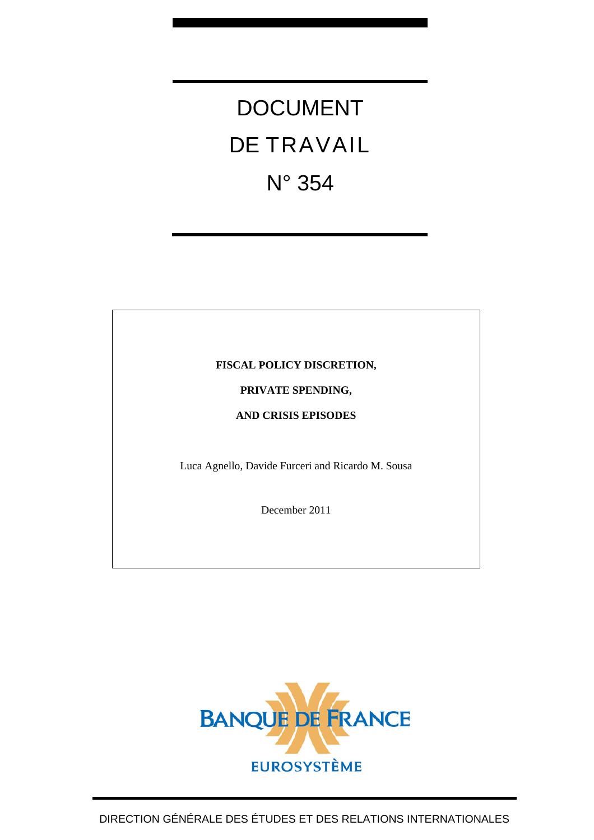# DOCUMENT DE TRAVAIL N° 354

#### **FISCAL POLICY DISCRETION,**

#### **PRIVATE SPENDING,**

#### **AND CRISIS EPISODES**

Luca Agnello, Davide Furceri and Ricardo M. Sousa

December 2011



DIRECTION GÉNÉRALE DES ÉTUDES ET DES RELATIONS INTERNATIONALES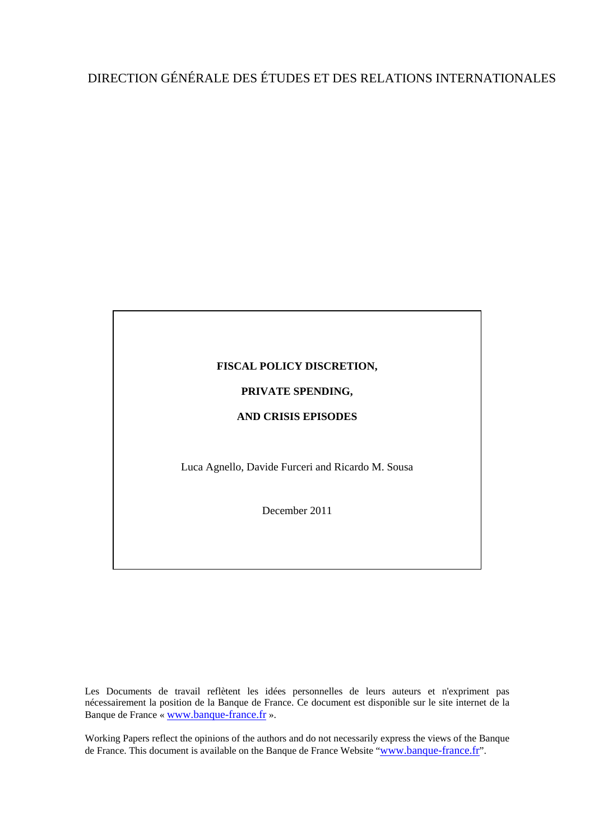## DIRECTION GÉNÉRALE DES ÉTUDES ET DES RELATIONS INTERNATIONALES

#### **FISCAL POLICY DISCRETION,**

#### **PRIVATE SPENDING,**

#### **AND CRISIS EPISODES**

Luca Agnello, Davide Furceri and Ricardo M. Sousa

December 2011

Les Documents de travail reflètent les idées personnelles de leurs auteurs et n'expriment pas nécessairement la position de la Banque de France. Ce document est disponible sur le site internet de la Banque de France « [www.banque-france.fr](http://www.banque-france.fr/) ».

Working Papers reflect the opinions of the authors and do not necessarily express the views of the Banque de France. This document is available on the Banque de France Website "[www.banque-france.fr](http://www.banque-france.fr/)".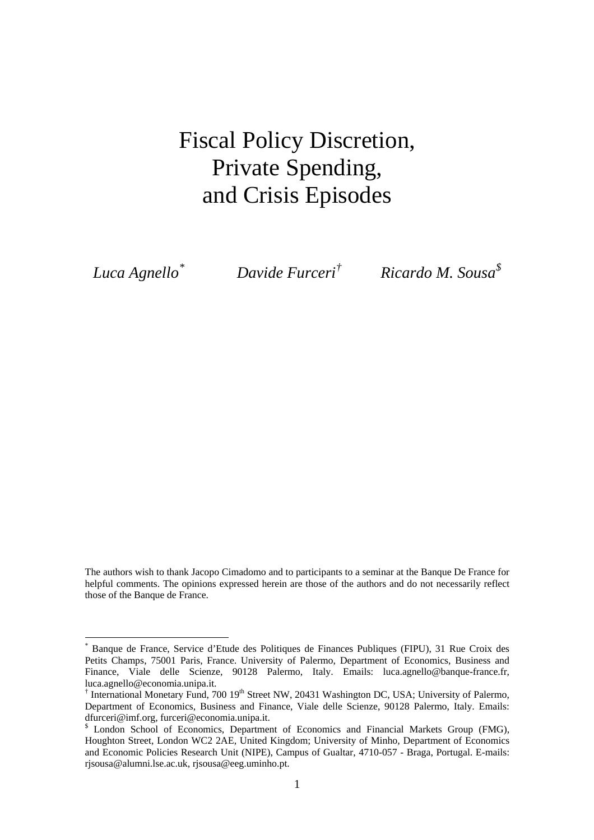## Fiscal Policy Discretion, Private Spending, and Crisis Episodes

*Luca Agnello[\\*](#page-2-0)*

 $\overline{a}$ 

 *Davide Furceri[†](#page-2-1) Ricardo M. Sousa[\\$](#page-2-2)*

The authors wish to thank Jacopo Cimadomo and to participants to a seminar at the Banque De France for helpful comments. The opinions expressed herein are those of the authors and do not necessarily reflect those of the Banque de France.

<span id="page-2-0"></span><sup>\*</sup> Banque de France, Service d'Etude des Politiques de Finances Publiques (FIPU), 31 Rue Croix des Petits Champs, 75001 Paris, France. University of Palermo, Department of Economics, Business and Finance, Viale delle Scienze, 90128 Palermo, Italy. Emails: luca.agnello@banque-france.fr, luca.agnello@economia.unipa.it.

<span id="page-2-1"></span><sup>&</sup>lt;sup>†</sup> International Monetary Fund, 700 19<sup>th</sup> Street NW, 20431 Washington DC, USA; University of Palermo, Department of Economics, Business and Finance, Viale delle Scienze, 90128 Palermo, Italy. Emails: dfurceri@imf.org, furceri@economia.unipa.it.

<span id="page-2-2"></span><sup>&</sup>lt;sup>\$</sup> London School of Economics, Department of Economics and Financial Markets Group (FMG), Houghton Street, London WC2 2AE, United Kingdom; University of Minho, Department of Economics and Economic Policies Research Unit (NIPE), Campus of Gualtar, 4710-057 - Braga, Portugal. E-mails: rjsousa@alumni.lse.ac.uk, rjsousa@eeg.uminho.pt.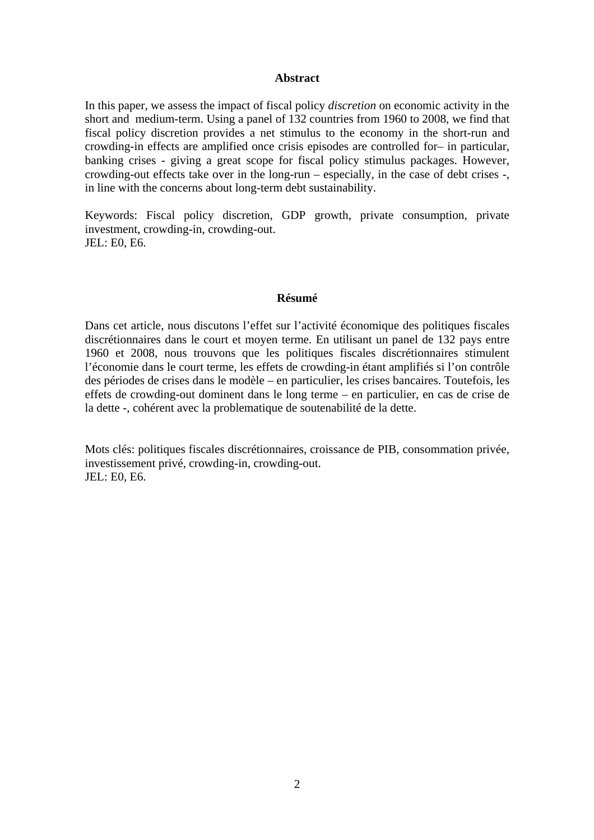#### **Abstract**

In this paper, we assess the impact of fiscal policy *discretion* on economic activity in the short and medium-term. Using a panel of 132 countries from 1960 to 2008, we find that fiscal policy discretion provides a net stimulus to the economy in the short-run and crowding-in effects are amplified once crisis episodes are controlled for– in particular, banking crises - giving a great scope for fiscal policy stimulus packages. However, crowding-out effects take over in the long-run – especially, in the case of debt crises -, in line with the concerns about long-term debt sustainability.

Keywords: Fiscal policy discretion, GDP growth, private consumption, private investment, crowding-in, crowding-out. JEL: E0, E6.

#### **Résumé**

Dans cet article, nous discutons l'effet sur l'activité économique des politiques fiscales discrétionnaires dans le court et moyen terme. En utilisant un panel de 132 pays entre 1960 et 2008, nous trouvons que les politiques fiscales discrétionnaires stimulent l'économie dans le court terme, les effets de crowding-in étant amplifiés si l'on contrôle des périodes de crises dans le modèle – en particulier, les crises bancaires. Toutefois, les effets de crowding-out dominent dans le long terme – en particulier, en cas de crise de la dette -, cohérent avec la problematique de soutenabilité de la dette.

Mots clés: politiques fiscales discrétionnaires, croissance de PIB, consommation privée, investissement privé, crowding-in, crowding-out. JEL: E0, E6.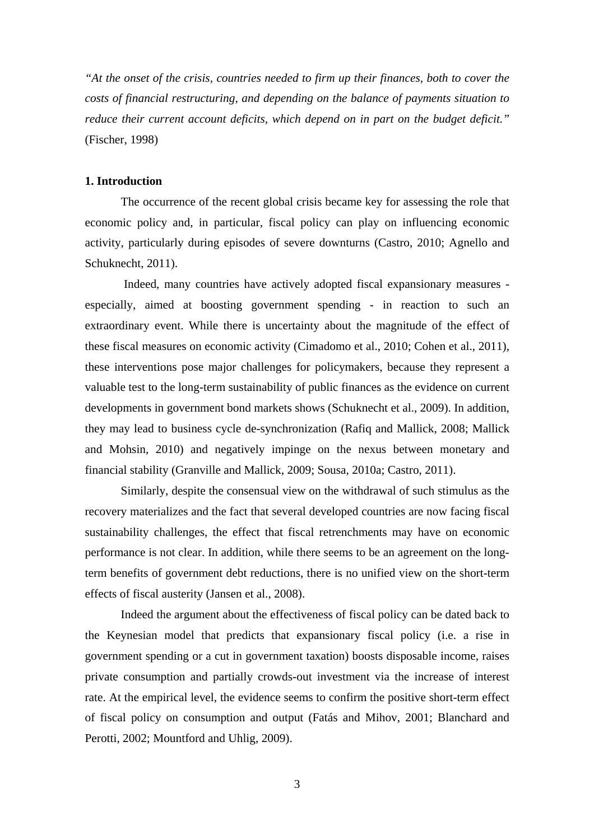*"At the onset of the crisis, countries needed to firm up their finances, both to cover the costs of financial restructuring, and depending on the balance of payments situation to reduce their current account deficits, which depend on in part on the budget deficit."*  (Fischer, 1998)

#### **1. Introduction**

The occurrence of the recent global crisis became key for assessing the role that economic policy and, in particular, fiscal policy can play on influencing economic activity, particularly during episodes of severe downturns (Castro, 2010; Agnello and Schuknecht, 2011).

 Indeed, many countries have actively adopted fiscal expansionary measures especially, aimed at boosting government spending - in reaction to such an extraordinary event. While there is uncertainty about the magnitude of the effect of these fiscal measures on economic activity (Cimadomo et al., 2010; Cohen et al., 2011), these interventions pose major challenges for policymakers, because they represent a valuable test to the long-term sustainability of public finances as the evidence on current developments in government bond markets shows (Schuknecht et al., 2009). In addition, they may lead to business cycle de-synchronization (Rafiq and Mallick, 2008; Mallick and Mohsin, 2010) and negatively impinge on the nexus between monetary and financial stability (Granville and Mallick, 2009; Sousa, 2010a; Castro, 2011).

Similarly, despite the consensual view on the withdrawal of such stimulus as the recovery materializes and the fact that several developed countries are now facing fiscal sustainability challenges, the effect that fiscal retrenchments may have on economic performance is not clear. In addition, while there seems to be an agreement on the longterm benefits of government debt reductions, there is no unified view on the short-term effects of fiscal austerity (Jansen et al., 2008).

Indeed the argument about the effectiveness of fiscal policy can be dated back to the Keynesian model that predicts that expansionary fiscal policy (i.e. a rise in government spending or a cut in government taxation) boosts disposable income, raises private consumption and partially crowds-out investment via the increase of interest rate. At the empirical level, the evidence seems to confirm the positive short-term effect of fiscal policy on consumption and output (Fatás and Mihov, 2001; Blanchard and Perotti, 2002; Mountford and Uhlig, 2009).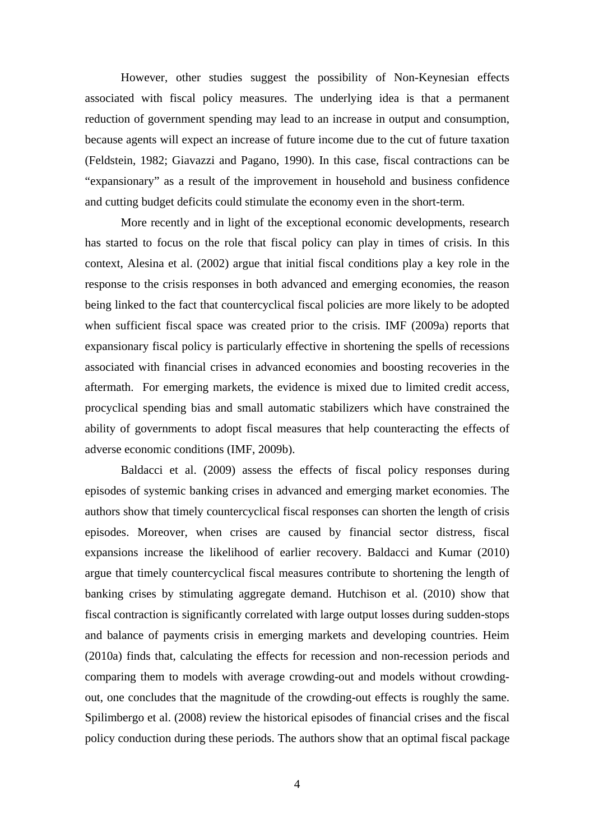However, other studies suggest the possibility of Non-Keynesian effects associated with fiscal policy measures. The underlying idea is that a permanent reduction of government spending may lead to an increase in output and consumption, because agents will expect an increase of future income due to the cut of future taxation (Feldstein, 1982; Giavazzi and Pagano, 1990). In this case, fiscal contractions can be "expansionary" as a result of the improvement in household and business confidence and cutting budget deficits could stimulate the economy even in the short-term.

More recently and in light of the exceptional economic developments, research has started to focus on the role that fiscal policy can play in times of crisis. In this context, Alesina et al. (2002) argue that initial fiscal conditions play a key role in the response to the crisis responses in both advanced and emerging economies, the reason being linked to the fact that countercyclical fiscal policies are more likely to be adopted when sufficient fiscal space was created prior to the crisis. IMF (2009a) reports that expansionary fiscal policy is particularly effective in shortening the spells of recessions associated with financial crises in advanced economies and boosting recoveries in the aftermath. For emerging markets, the evidence is mixed due to limited credit access, procyclical spending bias and small automatic stabilizers which have constrained the ability of governments to adopt fiscal measures that help counteracting the effects of adverse economic conditions (IMF, 2009b).

Baldacci et al. (2009) assess the effects of fiscal policy responses during episodes of systemic banking crises in advanced and emerging market economies. The authors show that timely countercyclical fiscal responses can shorten the length of crisis episodes. Moreover, when crises are caused by financial sector distress, fiscal expansions increase the likelihood of earlier recovery. Baldacci and Kumar (2010) argue that timely countercyclical fiscal measures contribute to shortening the length of banking crises by stimulating aggregate demand. Hutchison et al. (2010) show that fiscal contraction is significantly correlated with large output losses during sudden-stops and balance of payments crisis in emerging markets and developing countries. Heim (2010a) finds that, calculating the effects for recession and non-recession periods and comparing them to models with average crowding-out and models without crowdingout, one concludes that the magnitude of the crowding-out effects is roughly the same. Spilimbergo et al. (2008) review the historical episodes of financial crises and the fiscal policy conduction during these periods. The authors show that an optimal fiscal package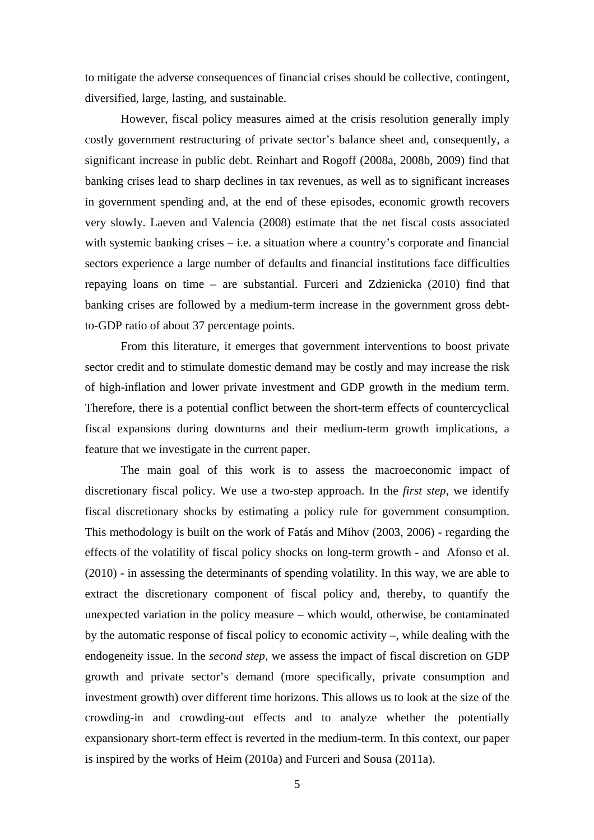to mitigate the adverse consequences of financial crises should be collective, contingent, diversified, large, lasting, and sustainable.

However, fiscal policy measures aimed at the crisis resolution generally imply costly government restructuring of private sector's balance sheet and, consequently, a significant increase in public debt. Reinhart and Rogoff (2008a, 2008b, 2009) find that banking crises lead to sharp declines in tax revenues, as well as to significant increases in government spending and, at the end of these episodes, economic growth recovers very slowly. Laeven and Valencia (2008) estimate that the net fiscal costs associated with systemic banking crises  $-$  i.e. a situation where a country's corporate and financial sectors experience a large number of defaults and financial institutions face difficulties repaying loans on time – are substantial. Furceri and Zdzienicka (2010) find that banking crises are followed by a medium-term increase in the government gross debtto-GDP ratio of about 37 percentage points.

From this literature, it emerges that government interventions to boost private sector credit and to stimulate domestic demand may be costly and may increase the risk of high-inflation and lower private investment and GDP growth in the medium term. Therefore, there is a potential conflict between the short-term effects of countercyclical fiscal expansions during downturns and their medium-term growth implications, a feature that we investigate in the current paper.

The main goal of this work is to assess the macroeconomic impact of discretionary fiscal policy. We use a two-step approach. In the *first step*, we identify fiscal discretionary shocks by estimating a policy rule for government consumption. This methodology is built on the work of Fatás and Mihov (2003, 2006) - regarding the effects of the volatility of fiscal policy shocks on long-term growth - and Afonso et al. (2010) - in assessing the determinants of spending volatility. In this way, we are able to extract the discretionary component of fiscal policy and, thereby, to quantify the unexpected variation in the policy measure – which would, otherwise, be contaminated by the automatic response of fiscal policy to economic activity –, while dealing with the endogeneity issue. In the *second step*, we assess the impact of fiscal discretion on GDP growth and private sector's demand (more specifically, private consumption and investment growth) over different time horizons. This allows us to look at the size of the crowding-in and crowding-out effects and to analyze whether the potentially expansionary short-term effect is reverted in the medium-term. In this context, our paper is inspired by the works of Heim (2010a) and Furceri and Sousa (2011a).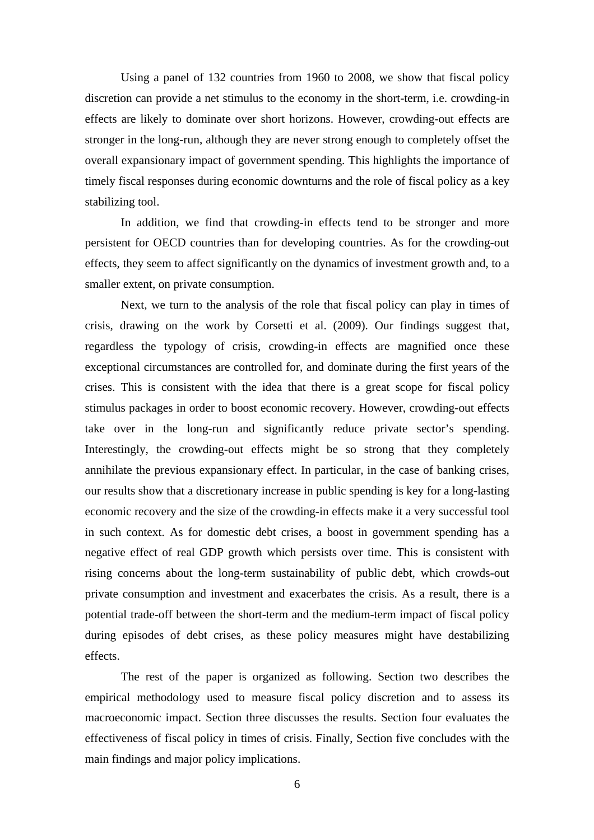Using a panel of 132 countries from 1960 to 2008, we show that fiscal policy discretion can provide a net stimulus to the economy in the short-term, i.e. crowding-in effects are likely to dominate over short horizons. However, crowding-out effects are stronger in the long-run, although they are never strong enough to completely offset the overall expansionary impact of government spending. This highlights the importance of timely fiscal responses during economic downturns and the role of fiscal policy as a key stabilizing tool.

In addition, we find that crowding-in effects tend to be stronger and more persistent for OECD countries than for developing countries. As for the crowding-out effects, they seem to affect significantly on the dynamics of investment growth and, to a smaller extent, on private consumption.

Next, we turn to the analysis of the role that fiscal policy can play in times of crisis, drawing on the work by Corsetti et al. (2009). Our findings suggest that, regardless the typology of crisis, crowding-in effects are magnified once these exceptional circumstances are controlled for, and dominate during the first years of the crises. This is consistent with the idea that there is a great scope for fiscal policy stimulus packages in order to boost economic recovery. However, crowding-out effects take over in the long-run and significantly reduce private sector's spending. Interestingly, the crowding-out effects might be so strong that they completely annihilate the previous expansionary effect. In particular, in the case of banking crises, our results show that a discretionary increase in public spending is key for a long-lasting economic recovery and the size of the crowding-in effects make it a very successful tool in such context. As for domestic debt crises, a boost in government spending has a negative effect of real GDP growth which persists over time. This is consistent with rising concerns about the long-term sustainability of public debt, which crowds-out private consumption and investment and exacerbates the crisis. As a result, there is a potential trade-off between the short-term and the medium-term impact of fiscal policy during episodes of debt crises, as these policy measures might have destabilizing effects.

The rest of the paper is organized as following. Section two describes the empirical methodology used to measure fiscal policy discretion and to assess its macroeconomic impact. Section three discusses the results. Section four evaluates the effectiveness of fiscal policy in times of crisis. Finally, Section five concludes with the main findings and major policy implications.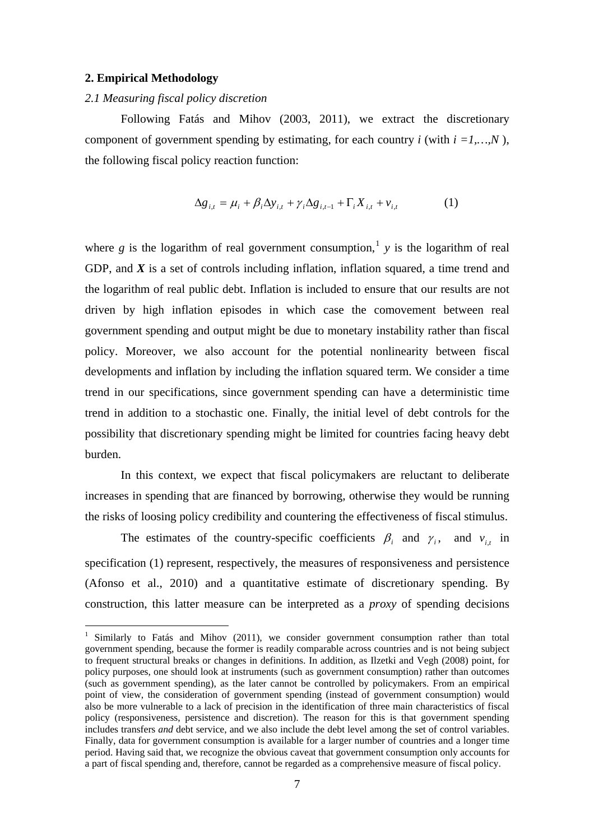#### <span id="page-8-0"></span>**2. Empirical Methodology**

 $\overline{a}$ 

#### *2.1 Measuring fiscal policy discretion*

Following Fatás and Mihov (2003, 2011), we extract the discretionary component of government spending by estimating, for each country  $i$  (with  $i = 1,...,N$ ), the following fiscal policy reaction function:

$$
\Delta g_{i,t} = \mu_i + \beta_i \Delta y_{i,t} + \gamma_i \Delta g_{i,t-1} + \Gamma_i X_{i,t} + \nu_{i,t}
$$
 (1)

where  $g$  is the logarithm of real government consumption,<sup>[1](#page-8-0)</sup>  $y$  is the logarithm of real GDP, and *X* is a set of controls including inflation, inflation squared, a time trend and the logarithm of real public debt. Inflation is included to ensure that our results are not driven by high inflation episodes in which case the comovement between real government spending and output might be due to monetary instability rather than fiscal policy. Moreover, we also account for the potential nonlinearity between fiscal developments and inflation by including the inflation squared term. We consider a time trend in our specifications, since government spending can have a deterministic time trend in addition to a stochastic one. Finally, the initial level of debt controls for the possibility that discretionary spending might be limited for countries facing heavy debt burden.

In this context, we expect that fiscal policymakers are reluctant to deliberate increases in spending that are financed by borrowing, otherwise they would be running the risks of loosing policy credibility and countering the effectiveness of fiscal stimulus.

The estimates of the country-specific coefficients  $\beta_i$  and  $\gamma_i$ , and  $\nu_{i,t}$  in specification (1) represent, respectively, the measures of responsiveness and persistence (Afonso et al., 2010) and a quantitative estimate of discretionary spending. By construction, this latter measure can be interpreted as a *proxy* of spending decisions

<sup>&</sup>lt;sup>1</sup> Similarly to Fatás and Mihov (2011), we consider government consumption rather than total government spending, because the former is readily comparable across countries and is not being subject to frequent structural breaks or changes in definitions. In addition, as Ilzetki and Vegh (2008) point, for policy purposes, one should look at instruments (such as government consumption) rather than outcomes (such as government spending), as the later cannot be controlled by policymakers. From an empirical point of view, the consideration of government spending (instead of government consumption) would also be more vulnerable to a lack of precision in the identification of three main characteristics of fiscal policy (responsiveness, persistence and discretion). The reason for this is that government spending includes transfers *and* debt service, and we also include the debt level among the set of control variables. Finally, data for government consumption is available for a larger number of countries and a longer time period. Having said that, we recognize the obvious caveat that government consumption only accounts for a part of fiscal spending and, therefore, cannot be regarded as a comprehensive measure of fiscal policy.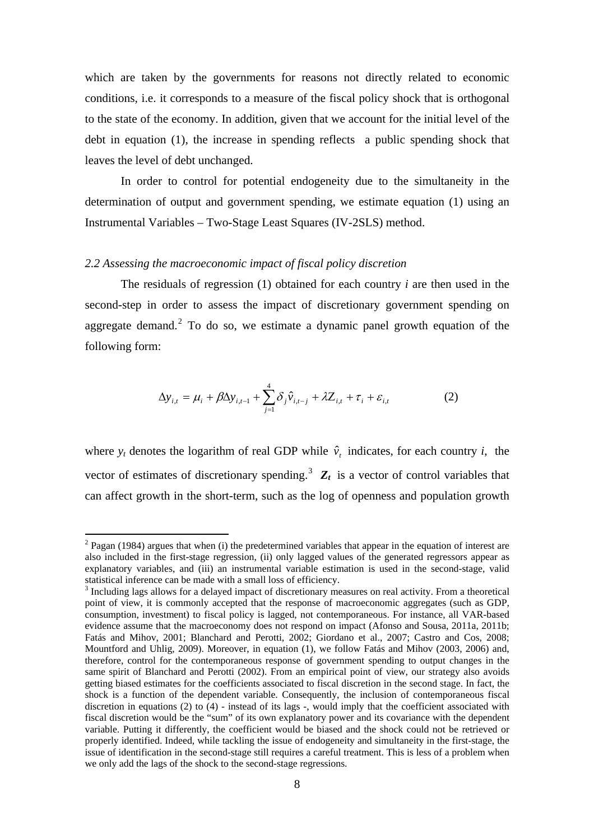<span id="page-9-0"></span>which are taken by the governments for reasons not directly related to economic conditions, i.e. it corresponds to a measure of the fiscal policy shock that is orthogonal to the state of the economy. In addition, given that we account for the initial level of the debt in equation (1), the increase in spending reflects a public spending shock that leaves the level of debt unchanged.

In order to control for potential endogeneity due to the simultaneity in the determination of output and government spending, we estimate equation (1) using an Instrumental Variables – Two-Stage Least Squares (IV-2SLS) method.

#### *2.2 Assessing the macroeconomic impact of fiscal policy discretion*

 $\overline{a}$ 

The residuals of regression (1) obtained for each country *i* are then used in the second-step in order to assess the impact of discretionary government spending on aggregate demand.<sup>[2](#page-9-0)</sup> To do so, we estimate a dynamic panel growth equation of the following form:

$$
\Delta y_{i,t} = \mu_i + \beta \Delta y_{i,t-1} + \sum_{j=1}^{4} \delta_j \hat{v}_{i,t-j} + \lambda Z_{i,t} + \tau_i + \varepsilon_{i,t}
$$
 (2)

where  $y_t$  denotes the logarithm of real GDP while  $\hat{v}_t$  indicates, for each country *i*, the vector of estimates of discretionary spending.<sup>[3](#page-9-0)</sup>  $Z_t$  is a vector of control variables that can affect growth in the short-term, such as the log of openness and population growth

 $2$  Pagan (1984) argues that when (i) the predetermined variables that appear in the equation of interest are also included in the first-stage regression, (ii) only lagged values of the generated regressors appear as explanatory variables, and (iii) an instrumental variable estimation is used in the second-stage, valid statistical inference can be made with a small loss of efficiency.

 $3$  Including lags allows for a delayed impact of discretionary measures on real activity. From a theoretical point of view, it is commonly accepted that the response of macroeconomic aggregates (such as GDP, consumption, investment) to fiscal policy is lagged, not contemporaneous. For instance, all VAR-based evidence assume that the macroeconomy does not respond on impact (Afonso and Sousa, 2011a, 2011b; Fatás and Mihov, 2001; Blanchard and Perotti, 2002; Giordano et al., 2007; Castro and Cos, 2008; Mountford and Uhlig, 2009). Moreover, in equation (1), we follow Fatás and Mihov (2003, 2006) and, therefore, control for the contemporaneous response of government spending to output changes in the same spirit of Blanchard and Perotti (2002). From an empirical point of view, our strategy also avoids getting biased estimates for the coefficients associated to fiscal discretion in the second stage. In fact, the shock is a function of the dependent variable. Consequently, the inclusion of contemporaneous fiscal discretion in equations (2) to  $(4)$  - instead of its lags -, would imply that the coefficient associated with fiscal discretion would be the "sum" of its own explanatory power and its covariance with the dependent variable. Putting it differently, the coefficient would be biased and the shock could not be retrieved or properly identified. Indeed, while tackling the issue of endogeneity and simultaneity in the first-stage, the issue of identification in the second-stage still requires a careful treatment. This is less of a problem when we only add the lags of the shock to the second-stage regressions.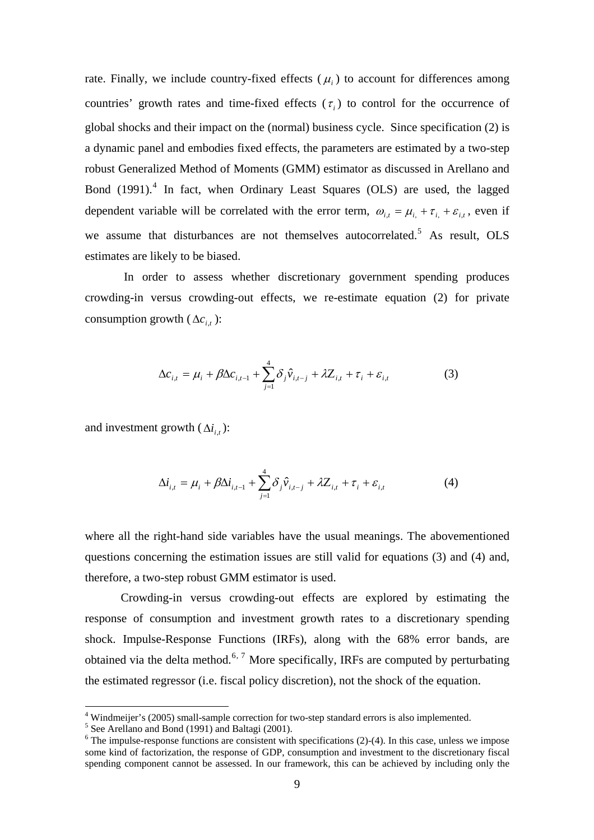<span id="page-10-0"></span>rate. Finally, we include country-fixed effects  $(\mu_i)$  to account for differences among countries' growth rates and time-fixed effects  $(\tau_i)$  to control for the occurrence of global shocks and their impact on the (normal) business cycle. Since specification (2) is a dynamic panel and embodies fixed effects, the parameters are estimated by a two-step robust Generalized Method of Moments (GMM) estimator as discussed in Arellano and Bond (1991).<sup>[4](#page-10-0)</sup> In fact, when Ordinary Least Squares (OLS) are used, the lagged dependent variable will be correlated with the error term,  $\omega_{i,t} = \mu_i + \tau_i + \varepsilon_{i,t}$ , even if we assume that disturbances are not themselves autocorrelated.<sup>[5](#page-10-0)</sup> As result, OLS estimates are likely to be biased.

 In order to assess whether discretionary government spending produces crowding-in versus crowding-out effects, we re-estimate equation (2) for private consumption growth ( $\Delta c_{i}$ ):

$$
\Delta c_{i,t} = \mu_i + \beta \Delta c_{i,t-1} + \sum_{j=1}^{4} \delta_j \hat{v}_{i,t-j} + \lambda Z_{i,t} + \tau_i + \varepsilon_{i,t}
$$
(3)

and investment growth  $(\Delta i_{i,t})$ :

$$
\Delta i_{i,t} = \mu_i + \beta \Delta i_{i,t-1} + \sum_{j=1}^{4} \delta_j \hat{v}_{i,t-j} + \lambda Z_{i,t} + \tau_i + \varepsilon_{i,t}
$$
(4)

where all the right-hand side variables have the usual meanings. The abovementioned questions concerning the estimation issues are still valid for equations (3) and (4) and, therefore, a two-step robust GMM estimator is used.

Crowding-in versus crowding-out effects are explored by estimating the response of consumption and investment growth rates to a discretionary spending shock. Impulse-Response Functions (IRFs), along with the 68% error bands, are obtained via the delta method.<sup>[6](#page-10-0), [7](#page-10-0)</sup> More specifically, IRFs are computed by perturbating the estimated regressor (i.e. fiscal policy discretion), not the shock of the equation.

 $\overline{a}$ 

<sup>&</sup>lt;sup>4</sup> Windmeijer's (2005) small-sample correction for two-step standard errors is also implemented.

 $5$  See Arellano and Bond (1991) and Baltagi (2001).

 $6$  The impulse-response functions are consistent with specifications (2)-(4). In this case, unless we impose some kind of factorization, the response of GDP, consumption and investment to the discretionary fiscal spending component cannot be assessed. In our framework, this can be achieved by including only the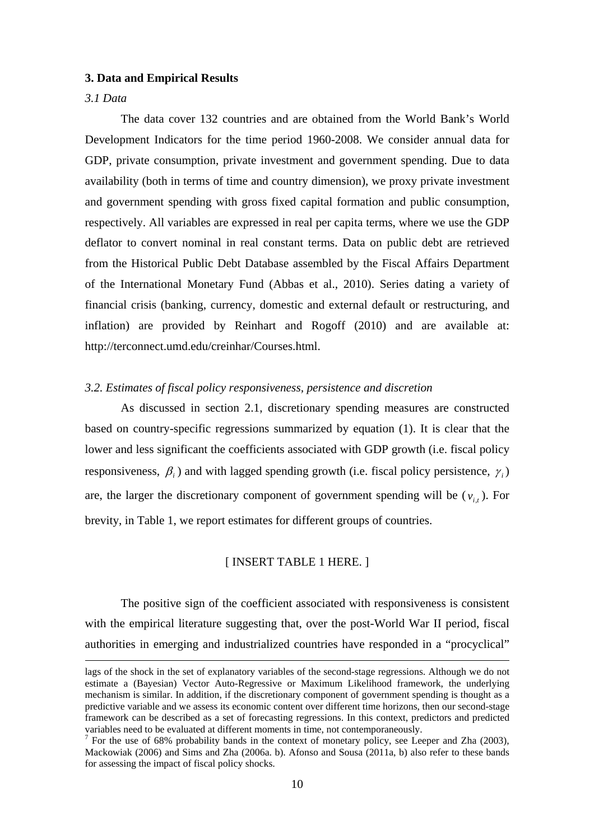#### **3. Data and Empirical Results**

#### *3.1 Data*

The data cover 132 countries and are obtained from the World Bank's World Development Indicators for the time period 1960-2008. We consider annual data for GDP, private consumption, private investment and government spending. Due to data availability (both in terms of time and country dimension), we proxy private investment and government spending with gross fixed capital formation and public consumption, respectively. All variables are expressed in real per capita terms, where we use the GDP deflator to convert nominal in real constant terms. Data on public debt are retrieved from the Historical Public Debt Database assembled by the Fiscal Affairs Department of the International Monetary Fund (Abbas et al., 2010). Series dating a variety of financial crisis (banking, currency, domestic and external default or restructuring, and inflation) are provided by Reinhart and Rogoff (2010) and are available at: http://terconnect.umd.edu/creinhar/Courses.html.

#### *3.2. Estimates of fiscal policy responsiveness, persistence and discretion*

As discussed in section 2.1, discretionary spending measures are constructed based on country-specific regressions summarized by equation (1). It is clear that the lower and less significant the coefficients associated with GDP growth (i.e. fiscal policy responsiveness,  $\beta_i$  ) and with lagged spending growth (i.e. fiscal policy persistence,  $\gamma_i$ ) are, the larger the discretionary component of government spending will be  $(v_{i,t})$ . For brevity, in Table 1, we report estimates for different groups of countries.

#### [ INSERT TABLE 1 HERE. ]

The positive sign of the coefficient associated with responsiveness is consistent with the empirical literature suggesting that, over the post-World War II period, fiscal authorities in emerging and industrialized countries have responded in a "procyclical"

lags of the shock in the set of explanatory variables of the second-stage regressions. Although we do not estimate a (Bayesian) Vector Auto-Regressive or Maximum Likelihood framework, the underlying mechanism is similar. In addition, if the discretionary component of government spending is thought as a predictive variable and we assess its economic content over different time horizons, then our second-stage framework can be described as a set of forecasting regressions. In this context, predictors and predicted variables need to be evaluated at different moments in time, not contemporaneously.

 $<sup>7</sup>$  For the use of 68% probability bands in the context of monetary policy, see Leeper and Zha (2003),</sup> Mackowiak (2006) and Sims and Zha (2006a. b). Afonso and Sousa (2011a, b) also refer to these bands for assessing the impact of fiscal policy shocks.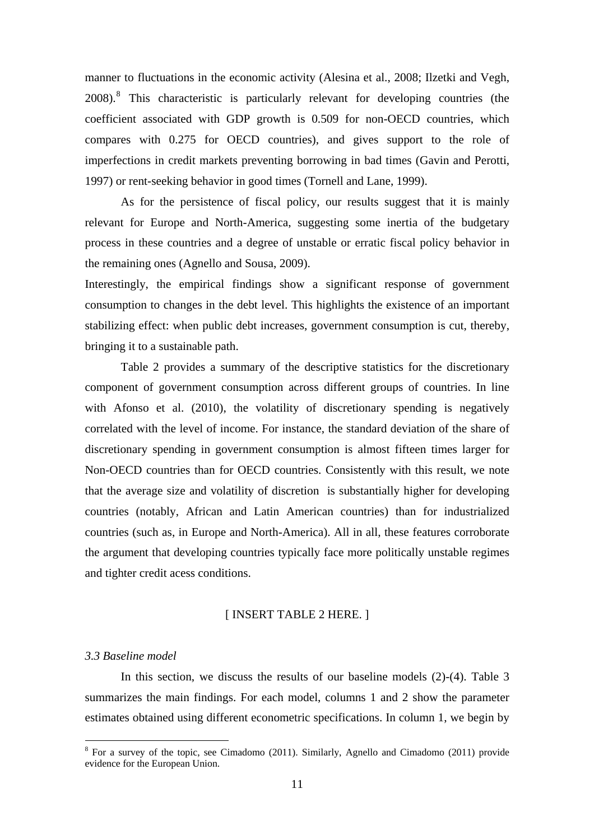<span id="page-12-0"></span>manner to fluctuations in the economic activity (Alesina et al., 2008; Ilzetki and Vegh, 200[8](#page-12-0)).<sup>8</sup> This characteristic is particularly relevant for developing countries (the coefficient associated with GDP growth is 0.509 for non-OECD countries, which compares with 0.275 for OECD countries), and gives support to the role of imperfections in credit markets preventing borrowing in bad times (Gavin and Perotti, 1997) or rent-seeking behavior in good times (Tornell and Lane, 1999).

As for the persistence of fiscal policy, our results suggest that it is mainly relevant for Europe and North-America, suggesting some inertia of the budgetary process in these countries and a degree of unstable or erratic fiscal policy behavior in the remaining ones (Agnello and Sousa, 2009).

Interestingly, the empirical findings show a significant response of government consumption to changes in the debt level. This highlights the existence of an important stabilizing effect: when public debt increases, government consumption is cut, thereby, bringing it to a sustainable path.

Table 2 provides a summary of the descriptive statistics for the discretionary component of government consumption across different groups of countries. In line with Afonso et al. (2010), the volatility of discretionary spending is negatively correlated with the level of income. For instance, the standard deviation of the share of discretionary spending in government consumption is almost fifteen times larger for Non-OECD countries than for OECD countries. Consistently with this result, we note that the average size and volatility of discretion is substantially higher for developing countries (notably, African and Latin American countries) than for industrialized countries (such as, in Europe and North-America). All in all, these features corroborate the argument that developing countries typically face more politically unstable regimes and tighter credit acess conditions.

#### [ INSERT TABLE 2 HERE. ]

#### *3.3 Baseline model*

 $\overline{a}$ 

In this section, we discuss the results of our baseline models (2)-(4). Table 3 summarizes the main findings. For each model, columns 1 and 2 show the parameter estimates obtained using different econometric specifications. In column 1, we begin by

<sup>&</sup>lt;sup>8</sup> For a survey of the topic, see Cimadomo (2011). Similarly, Agnello and Cimadomo (2011) provide evidence for the European Union.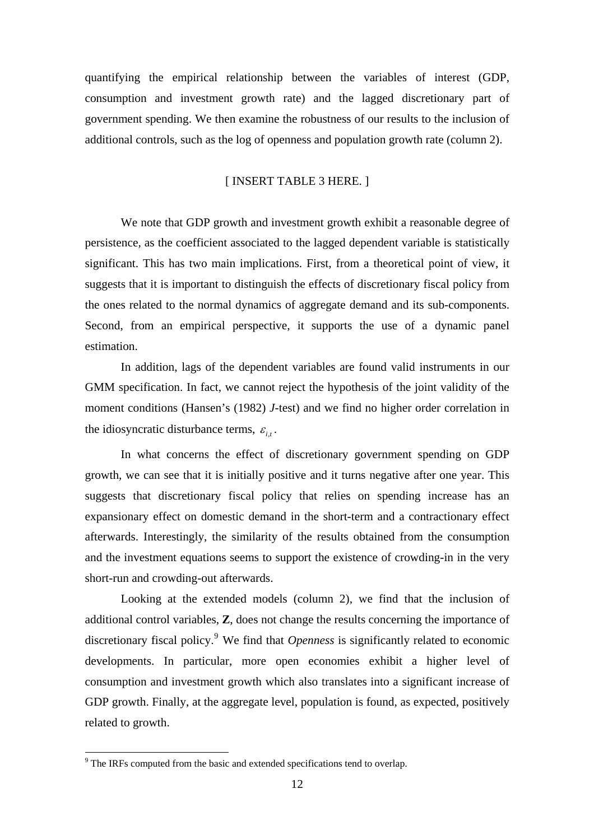<span id="page-13-0"></span>quantifying the empirical relationship between the variables of interest (GDP, consumption and investment growth rate) and the lagged discretionary part of government spending. We then examine the robustness of our results to the inclusion of additional controls, such as the log of openness and population growth rate (column 2).

#### [ INSERT TABLE 3 HERE. ]

We note that GDP growth and investment growth exhibit a reasonable degree of persistence, as the coefficient associated to the lagged dependent variable is statistically significant. This has two main implications. First, from a theoretical point of view, it suggests that it is important to distinguish the effects of discretionary fiscal policy from the ones related to the normal dynamics of aggregate demand and its sub-components. Second, from an empirical perspective, it supports the use of a dynamic panel estimation.

In addition, lags of the dependent variables are found valid instruments in our GMM specification. In fact, we cannot reject the hypothesis of the joint validity of the moment conditions (Hansen's (1982) *J*-test) and we find no higher order correlation in the idiosyncratic disturbance terms,  $\varepsilon_{i}$ .

In what concerns the effect of discretionary government spending on GDP growth, we can see that it is initially positive and it turns negative after one year. This suggests that discretionary fiscal policy that relies on spending increase has an expansionary effect on domestic demand in the short-term and a contractionary effect afterwards. Interestingly, the similarity of the results obtained from the consumption and the investment equations seems to support the existence of crowding-in in the very short-run and crowding-out afterwards.

Looking at the extended models (column 2), we find that the inclusion of additional control variables, **Z**, does not change the results concerning the importance of discretionary fiscal policy.<sup>[9](#page-13-0)</sup> We find that *Openness* is significantly related to economic developments. In particular, more open economies exhibit a higher level of consumption and investment growth which also translates into a significant increase of GDP growth. Finally, at the aggregate level, population is found, as expected, positively related to growth.

<sup>&</sup>lt;sup>9</sup> The IRFs computed from the basic and extended specifications tend to overlap.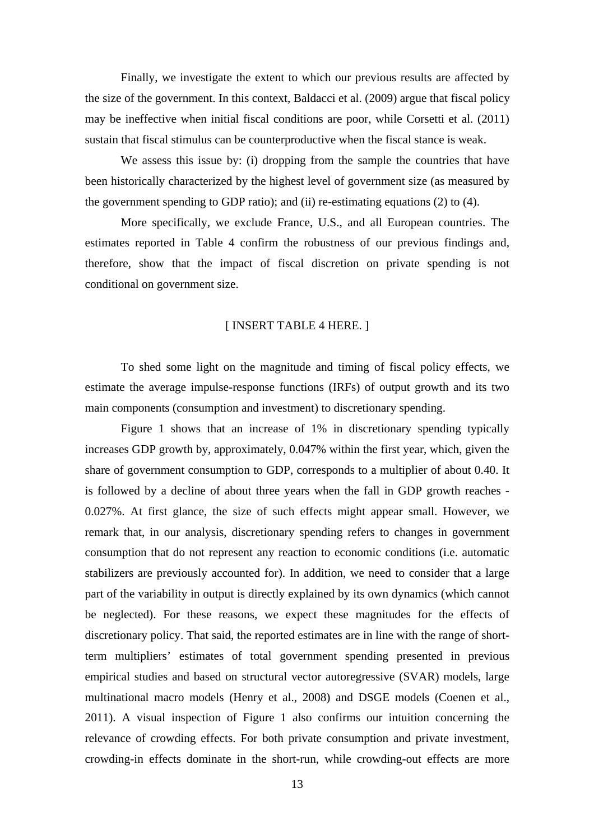Finally, we investigate the extent to which our previous results are affected by the size of the government. In this context, Baldacci et al. (2009) argue that fiscal policy may be ineffective when initial fiscal conditions are poor, while Corsetti et al. (2011) sustain that fiscal stimulus can be counterproductive when the fiscal stance is weak.

We assess this issue by: (i) dropping from the sample the countries that have been historically characterized by the highest level of government size (as measured by the government spending to GDP ratio); and (ii) re-estimating equations (2) to (4).

More specifically, we exclude France, U.S., and all European countries. The estimates reported in Table 4 confirm the robustness of our previous findings and, therefore, show that the impact of fiscal discretion on private spending is not conditional on government size.

#### [ INSERT TABLE 4 HERE. ]

To shed some light on the magnitude and timing of fiscal policy effects, we estimate the average impulse-response functions (IRFs) of output growth and its two main components (consumption and investment) to discretionary spending.

Figure 1 shows that an increase of 1% in discretionary spending typically increases GDP growth by, approximately, 0.047% within the first year, which, given the share of government consumption to GDP, corresponds to a multiplier of about 0.40. It is followed by a decline of about three years when the fall in GDP growth reaches - 0.027%. At first glance, the size of such effects might appear small. However, we remark that, in our analysis, discretionary spending refers to changes in government consumption that do not represent any reaction to economic conditions (i.e. automatic stabilizers are previously accounted for). In addition, we need to consider that a large part of the variability in output is directly explained by its own dynamics (which cannot be neglected). For these reasons, we expect these magnitudes for the effects of discretionary policy. That said, the reported estimates are in line with the range of shortterm multipliers' estimates of total government spending presented in previous empirical studies and based on structural vector autoregressive (SVAR) models, large multinational macro models (Henry et al., 2008) and DSGE models (Coenen et al., 2011). A visual inspection of Figure 1 also confirms our intuition concerning the relevance of crowding effects. For both private consumption and private investment, crowding-in effects dominate in the short-run, while crowding-out effects are more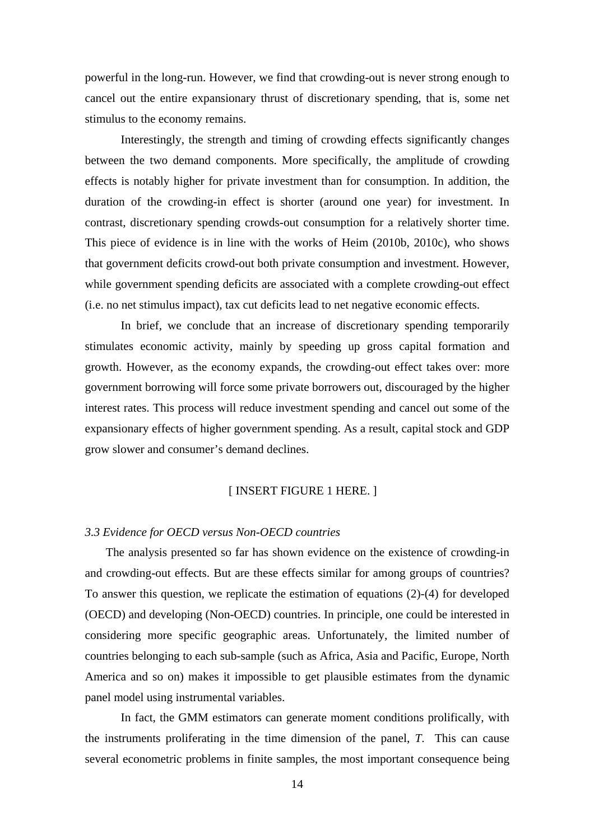powerful in the long-run. However, we find that crowding-out is never strong enough to cancel out the entire expansionary thrust of discretionary spending, that is, some net stimulus to the economy remains.

Interestingly, the strength and timing of crowding effects significantly changes between the two demand components. More specifically, the amplitude of crowding effects is notably higher for private investment than for consumption. In addition, the duration of the crowding-in effect is shorter (around one year) for investment. In contrast, discretionary spending crowds-out consumption for a relatively shorter time. This piece of evidence is in line with the works of Heim (2010b, 2010c), who shows that government deficits crowd-out both private consumption and investment. However, while government spending deficits are associated with a complete crowding-out effect (i.e. no net stimulus impact), tax cut deficits lead to net negative economic effects.

In brief, we conclude that an increase of discretionary spending temporarily stimulates economic activity, mainly by speeding up gross capital formation and growth. However, as the economy expands, the crowding-out effect takes over: more government borrowing will force some private borrowers out, discouraged by the higher interest rates. This process will reduce investment spending and cancel out some of the expansionary effects of higher government spending. As a result, capital stock and GDP grow slower and consumer's demand declines.

#### [ INSERT FIGURE 1 HERE. ]

#### *3.3 Evidence for OECD versus Non-OECD countries*

 The analysis presented so far has shown evidence on the existence of crowding-in and crowding-out effects. But are these effects similar for among groups of countries? To answer this question, we replicate the estimation of equations (2)-(4) for developed (OECD) and developing (Non-OECD) countries. In principle, one could be interested in considering more specific geographic areas. Unfortunately, the limited number of countries belonging to each sub-sample (such as Africa, Asia and Pacific, Europe, North America and so on) makes it impossible to get plausible estimates from the dynamic panel model using instrumental variables.

In fact, the GMM estimators can generate moment conditions prolifically, with the instruments proliferating in the time dimension of the panel, *T*. This can cause several econometric problems in finite samples, the most important consequence being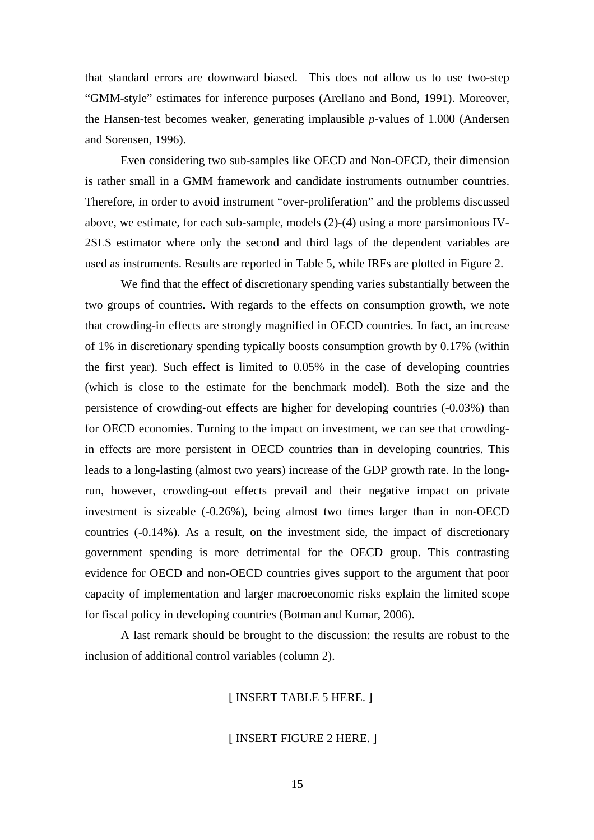that standard errors are downward biased. This does not allow us to use two-step "GMM-style" estimates for inference purposes (Arellano and Bond, 1991). Moreover, the Hansen-test becomes weaker, generating implausible *p*-values of 1.000 (Andersen and Sorensen, 1996).

Even considering two sub-samples like OECD and Non-OECD, their dimension is rather small in a GMM framework and candidate instruments outnumber countries. Therefore, in order to avoid instrument "over-proliferation" and the problems discussed above, we estimate, for each sub-sample, models (2)-(4) using a more parsimonious IV-2SLS estimator where only the second and third lags of the dependent variables are used as instruments. Results are reported in Table 5, while IRFs are plotted in Figure 2.

We find that the effect of discretionary spending varies substantially between the two groups of countries. With regards to the effects on consumption growth, we note that crowding-in effects are strongly magnified in OECD countries. In fact, an increase of 1% in discretionary spending typically boosts consumption growth by 0.17% (within the first year). Such effect is limited to 0.05% in the case of developing countries (which is close to the estimate for the benchmark model). Both the size and the persistence of crowding-out effects are higher for developing countries (-0.03%) than for OECD economies. Turning to the impact on investment, we can see that crowdingin effects are more persistent in OECD countries than in developing countries. This leads to a long-lasting (almost two years) increase of the GDP growth rate. In the longrun, however, crowding-out effects prevail and their negative impact on private investment is sizeable (-0.26%), being almost two times larger than in non-OECD countries (-0.14%). As a result, on the investment side, the impact of discretionary government spending is more detrimental for the OECD group. This contrasting evidence for OECD and non-OECD countries gives support to the argument that poor capacity of implementation and larger macroeconomic risks explain the limited scope for fiscal policy in developing countries (Botman and Kumar, 2006).

A last remark should be brought to the discussion: the results are robust to the inclusion of additional control variables (column 2).

#### [ INSERT TABLE 5 HERE. ]

#### [ INSERT FIGURE 2 HERE. ]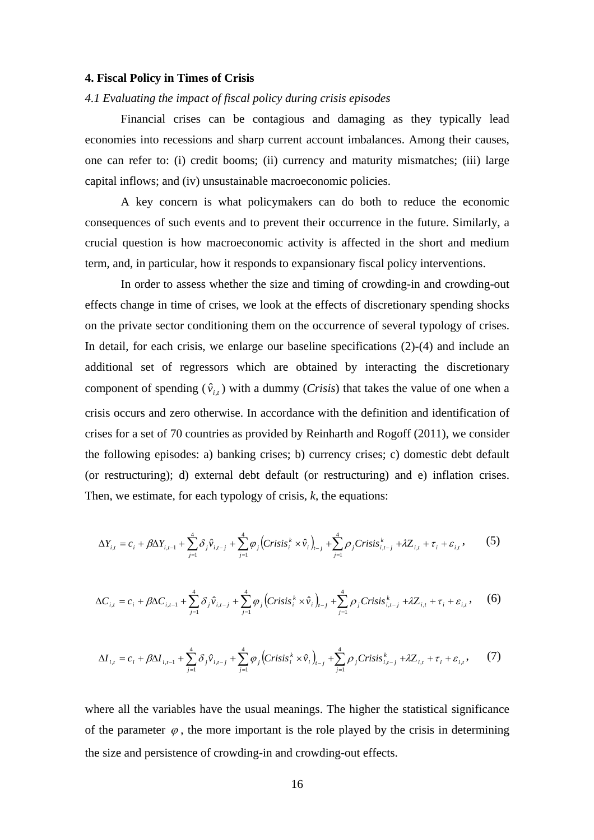#### **4. Fiscal Policy in Times of Crisis**

#### *4.1 Evaluating the impact of fiscal policy during crisis episodes*

Financial crises can be contagious and damaging as they typically lead economies into recessions and sharp current account imbalances. Among their causes, one can refer to: (i) credit booms; (ii) currency and maturity mismatches; (iii) large capital inflows; and (iv) unsustainable macroeconomic policies.

A key concern is what policymakers can do both to reduce the economic consequences of such events and to prevent their occurrence in the future. Similarly, a crucial question is how macroeconomic activity is affected in the short and medium term, and, in particular, how it responds to expansionary fiscal policy interventions.

In order to assess whether the size and timing of crowding-in and crowding-out effects change in time of crises, we look at the effects of discretionary spending shocks on the private sector conditioning them on the occurrence of several typology of crises. In detail, for each crisis, we enlarge our baseline specifications (2)-(4) and include an additional set of regressors which are obtained by interacting the discretionary component of spending  $(\hat{v}_{i,t})$  with a dummy (*Crisis*) that takes the value of one when a crisis occurs and zero otherwise. In accordance with the definition and identification of crises for a set of 70 countries as provided by Reinharth and Rogoff (2011), we consider the following episodes: a) banking crises; b) currency crises; c) domestic debt default (or restructuring); d) external debt default (or restructuring) and e) inflation crises. Then, we estimate, for each typology of crisis, *k*, the equations:

$$
\Delta Y_{i,t} = c_i + \beta \Delta Y_{i,t-1} + \sum_{j=1}^4 \delta_j \hat{v}_{i,t-j} + \sum_{j=1}^4 \varphi_j \Big( Crisis_i^k \times \hat{v}_i \Big)_{t-j} + \sum_{j=1}^4 \rho_j Crisis_{i,t-j}^k + \lambda Z_{i,t} + \tau_i + \varepsilon_{i,t},
$$
 (5)

$$
\Delta C_{i,t} = c_i + \beta \Delta C_{i,t-1} + \sum_{j=1}^4 \delta_j \hat{v}_{i,t-j} + \sum_{j=1}^4 \varphi_j \left( \text{Crisis}_i^k \times \hat{v}_i \right)_{t-j} + \sum_{j=1}^4 \rho_j \text{Crisis}_{i,t-j}^k + \lambda Z_{i,t} + \tau_i + \varepsilon_{i,t}, \quad (6)
$$

$$
\Delta I_{i,t} = c_i + \beta \Delta I_{i,t-1} + \sum_{j=1}^4 \delta_j \hat{v}_{i,t-j} + \sum_{j=1}^4 \varphi_j \left( \text{Crisis}_i^k \times \hat{v}_i \right)_{t-j} + \sum_{j=1}^4 \rho_j \text{Crisis}_{i,t-j}^k + \lambda Z_{i,t} + \tau_i + \varepsilon_{i,t}, \tag{7}
$$

where all the variables have the usual meanings. The higher the statistical significance of the parameter  $\varphi$ , the more important is the role played by the crisis in determining the size and persistence of crowding-in and crowding-out effects.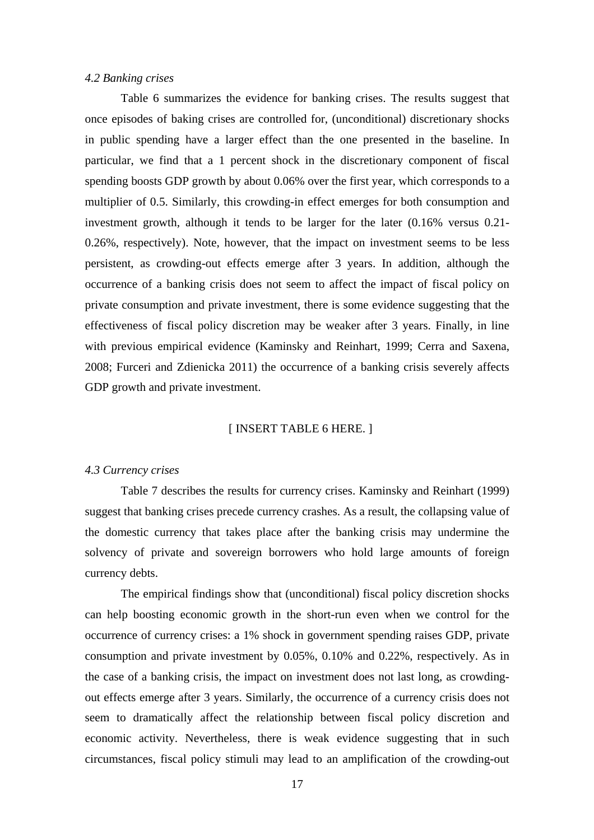#### *4.2 Banking crises*

Table 6 summarizes the evidence for banking crises. The results suggest that once episodes of baking crises are controlled for, (unconditional) discretionary shocks in public spending have a larger effect than the one presented in the baseline. In particular, we find that a 1 percent shock in the discretionary component of fiscal spending boosts GDP growth by about 0.06% over the first year, which corresponds to a multiplier of 0.5. Similarly, this crowding-in effect emerges for both consumption and investment growth, although it tends to be larger for the later (0.16% versus 0.21- 0.26%, respectively). Note, however, that the impact on investment seems to be less persistent, as crowding-out effects emerge after 3 years. In addition, although the occurrence of a banking crisis does not seem to affect the impact of fiscal policy on private consumption and private investment, there is some evidence suggesting that the effectiveness of fiscal policy discretion may be weaker after 3 years. Finally, in line with previous empirical evidence (Kaminsky and Reinhart, 1999; Cerra and Saxena, 2008; Furceri and Zdienicka 2011) the occurrence of a banking crisis severely affects GDP growth and private investment.

#### [ INSERT TABLE 6 HERE. ]

#### *4.3 Currency crises*

Table 7 describes the results for currency crises. Kaminsky and Reinhart (1999) suggest that banking crises precede currency crashes. As a result, the collapsing value of the domestic currency that takes place after the banking crisis may undermine the solvency of private and sovereign borrowers who hold large amounts of foreign currency debts.

The empirical findings show that (unconditional) fiscal policy discretion shocks can help boosting economic growth in the short-run even when we control for the occurrence of currency crises: a 1% shock in government spending raises GDP, private consumption and private investment by 0.05%, 0.10% and 0.22%, respectively. As in the case of a banking crisis, the impact on investment does not last long, as crowdingout effects emerge after 3 years. Similarly, the occurrence of a currency crisis does not seem to dramatically affect the relationship between fiscal policy discretion and economic activity. Nevertheless, there is weak evidence suggesting that in such circumstances, fiscal policy stimuli may lead to an amplification of the crowding-out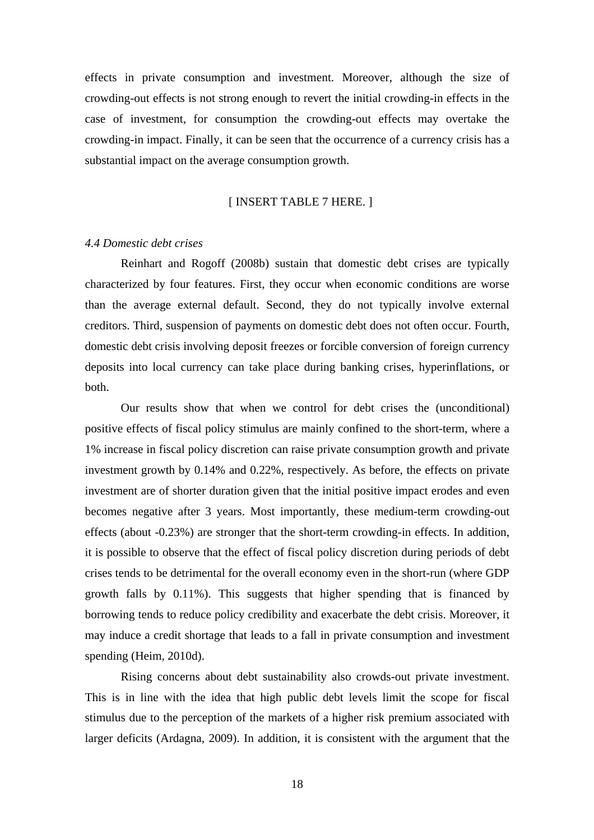effects in private consumption and investment. Moreover, although the size of crowding-out effects is not strong enough to revert the initial crowding-in effects in the case of investment, for consumption the crowding-out effects may overtake the crowding-in impact. Finally, it can be seen that the occurrence of a currency crisis has a substantial impact on the average consumption growth.

#### [ INSERT TABLE 7 HERE. ]

#### *4.4 Domestic debt crises*

Reinhart and Rogoff (2008b) sustain that domestic debt crises are typically characterized by four features. First, they occur when economic conditions are worse than the average external default. Second, they do not typically involve external creditors. Third, suspension of payments on domestic debt does not often occur. Fourth, domestic debt crisis involving deposit freezes or forcible conversion of foreign currency deposits into local currency can take place during banking crises, hyperinflations, or both.

Our results show that when we control for debt crises the (unconditional) positive effects of fiscal policy stimulus are mainly confined to the short-term, where a 1% increase in fiscal policy discretion can raise private consumption growth and private investment growth by 0.14% and 0.22%, respectively. As before, the effects on private investment are of shorter duration given that the initial positive impact erodes and even becomes negative after 3 years. Most importantly, these medium-term crowding-out effects (about -0.23%) are stronger that the short-term crowding-in effects. In addition, it is possible to observe that the effect of fiscal policy discretion during periods of debt crises tends to be detrimental for the overall economy even in the short-run (where GDP growth falls by 0.11%). This suggests that higher spending that is financed by borrowing tends to reduce policy credibility and exacerbate the debt crisis. Moreover, it may induce a credit shortage that leads to a fall in private consumption and investment spending (Heim, 2010d).

Rising concerns about debt sustainability also crowds-out private investment. This is in line with the idea that high public debt levels limit the scope for fiscal stimulus due to the perception of the markets of a higher risk premium associated with larger deficits (Ardagna, 2009). In addition, it is consistent with the argument that the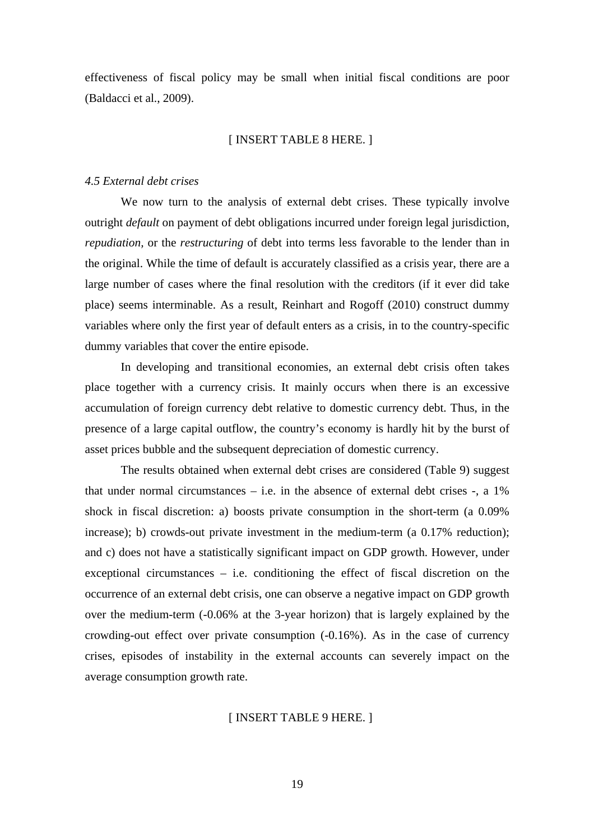effectiveness of fiscal policy may be small when initial fiscal conditions are poor (Baldacci et al., 2009).

#### [ INSERT TABLE 8 HERE. ]

#### *4.5 External debt crises*

We now turn to the analysis of external debt crises. These typically involve outright *default* on payment of debt obligations incurred under foreign legal jurisdiction, *repudiation,* or the *restructuring* of debt into terms less favorable to the lender than in the original. While the time of default is accurately classified as a crisis year, there are a large number of cases where the final resolution with the creditors (if it ever did take place) seems interminable. As a result, Reinhart and Rogoff (2010) construct dummy variables where only the first year of default enters as a crisis, in to the country-specific dummy variables that cover the entire episode.

In developing and transitional economies, an external debt crisis often takes place together with a currency crisis. It mainly occurs when there is an excessive accumulation of foreign currency debt relative to domestic currency debt. Thus, in the presence of a large capital outflow, the country's economy is hardly hit by the burst of asset prices bubble and the subsequent depreciation of domestic currency.

The results obtained when external debt crises are considered (Table 9) suggest that under normal circumstances  $-$  i.e. in the absence of external debt crises  $-$ , a  $1\%$ shock in fiscal discretion: a) boosts private consumption in the short-term (a 0.09% increase); b) crowds-out private investment in the medium-term (a  $0.17\%$  reduction); and c) does not have a statistically significant impact on GDP growth. However, under exceptional circumstances – i.e. conditioning the effect of fiscal discretion on the occurrence of an external debt crisis, one can observe a negative impact on GDP growth over the medium-term (-0.06% at the 3-year horizon) that is largely explained by the crowding-out effect over private consumption (-0.16%). As in the case of currency crises, episodes of instability in the external accounts can severely impact on the average consumption growth rate.

#### [ INSERT TABLE 9 HERE. ]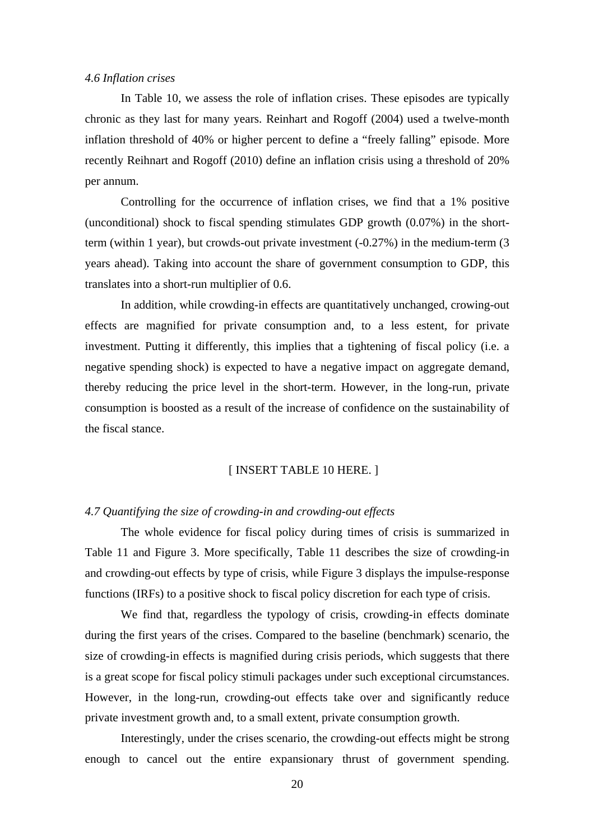#### *4.6 Inflation crises*

In Table 10, we assess the role of inflation crises. These episodes are typically chronic as they last for many years. Reinhart and Rogoff (2004) used a twelve-month inflation threshold of 40% or higher percent to define a "freely falling" episode. More recently Reihnart and Rogoff (2010) define an inflation crisis using a threshold of 20% per annum.

Controlling for the occurrence of inflation crises, we find that a 1% positive (unconditional) shock to fiscal spending stimulates GDP growth (0.07%) in the shortterm (within 1 year), but crowds-out private investment (-0.27%) in the medium-term (3 years ahead). Taking into account the share of government consumption to GDP, this translates into a short-run multiplier of 0.6.

In addition, while crowding-in effects are quantitatively unchanged, crowing-out effects are magnified for private consumption and, to a less estent, for private investment. Putting it differently, this implies that a tightening of fiscal policy (i.e. a negative spending shock) is expected to have a negative impact on aggregate demand, thereby reducing the price level in the short-term. However, in the long-run, private consumption is boosted as a result of the increase of confidence on the sustainability of the fiscal stance.

#### [ INSERT TABLE 10 HERE. ]

#### *4.7 Quantifying the size of crowding-in and crowding-out effects*

The whole evidence for fiscal policy during times of crisis is summarized in Table 11 and Figure 3. More specifically, Table 11 describes the size of crowding-in and crowding-out effects by type of crisis, while Figure 3 displays the impulse-response functions (IRFs) to a positive shock to fiscal policy discretion for each type of crisis.

We find that, regardless the typology of crisis, crowding-in effects dominate during the first years of the crises. Compared to the baseline (benchmark) scenario, the size of crowding-in effects is magnified during crisis periods, which suggests that there is a great scope for fiscal policy stimuli packages under such exceptional circumstances. However, in the long-run, crowding-out effects take over and significantly reduce private investment growth and, to a small extent, private consumption growth.

Interestingly, under the crises scenario, the crowding-out effects might be strong enough to cancel out the entire expansionary thrust of government spending.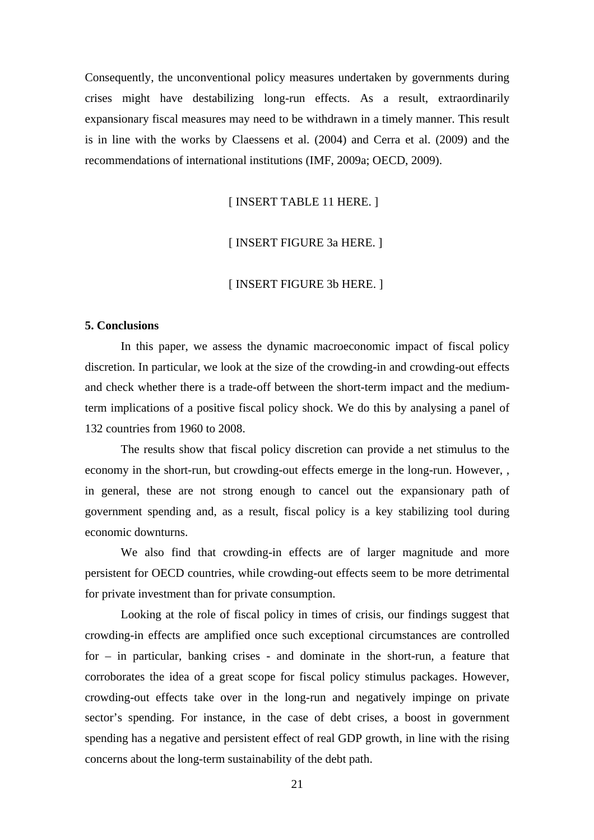Consequently, the unconventional policy measures undertaken by governments during crises might have destabilizing long-run effects. As a result, extraordinarily expansionary fiscal measures may need to be withdrawn in a timely manner. This result is in line with the works by Claessens et al. (2004) and Cerra et al. (2009) and the recommendations of international institutions (IMF, 2009a; OECD, 2009).

[ INSERT TABLE 11 HERE. ]

#### [ INSERT FIGURE 3a HERE. ]

#### [ INSERT FIGURE 3b HERE. ]

#### **5. Conclusions**

In this paper, we assess the dynamic macroeconomic impact of fiscal policy discretion. In particular, we look at the size of the crowding-in and crowding-out effects and check whether there is a trade-off between the short-term impact and the mediumterm implications of a positive fiscal policy shock. We do this by analysing a panel of 132 countries from 1960 to 2008.

The results show that fiscal policy discretion can provide a net stimulus to the economy in the short-run, but crowding-out effects emerge in the long-run. However, , in general, these are not strong enough to cancel out the expansionary path of government spending and, as a result, fiscal policy is a key stabilizing tool during economic downturns.

We also find that crowding-in effects are of larger magnitude and more persistent for OECD countries, while crowding-out effects seem to be more detrimental for private investment than for private consumption.

Looking at the role of fiscal policy in times of crisis, our findings suggest that crowding-in effects are amplified once such exceptional circumstances are controlled for – in particular, banking crises - and dominate in the short-run, a feature that corroborates the idea of a great scope for fiscal policy stimulus packages. However, crowding-out effects take over in the long-run and negatively impinge on private sector's spending. For instance, in the case of debt crises, a boost in government spending has a negative and persistent effect of real GDP growth, in line with the rising concerns about the long-term sustainability of the debt path.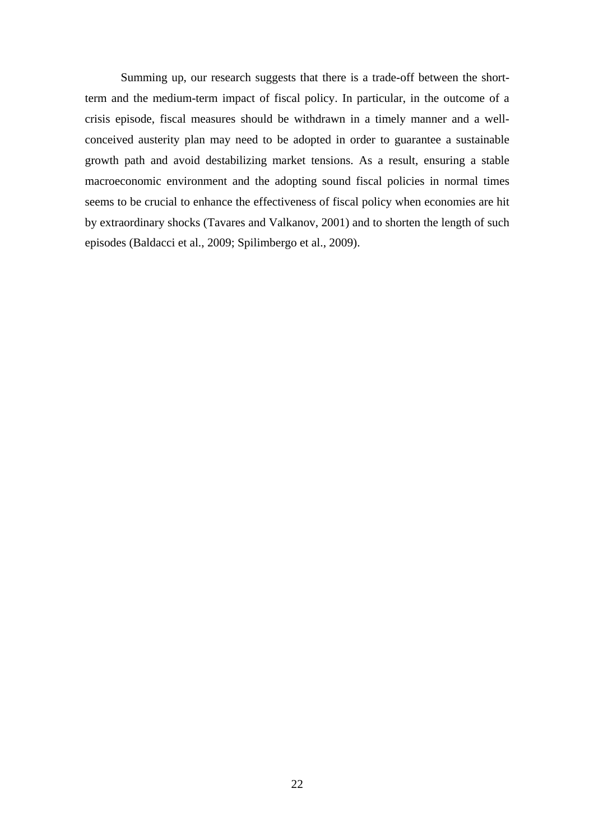Summing up, our research suggests that there is a trade-off between the shortterm and the medium-term impact of fiscal policy. In particular, in the outcome of a crisis episode, fiscal measures should be withdrawn in a timely manner and a wellconceived austerity plan may need to be adopted in order to guarantee a sustainable growth path and avoid destabilizing market tensions. As a result, ensuring a stable macroeconomic environment and the adopting sound fiscal policies in normal times seems to be crucial to enhance the effectiveness of fiscal policy when economies are hit by extraordinary shocks (Tavares and Valkanov, 2001) and to shorten the length of such episodes (Baldacci et al., 2009; Spilimbergo et al., 2009).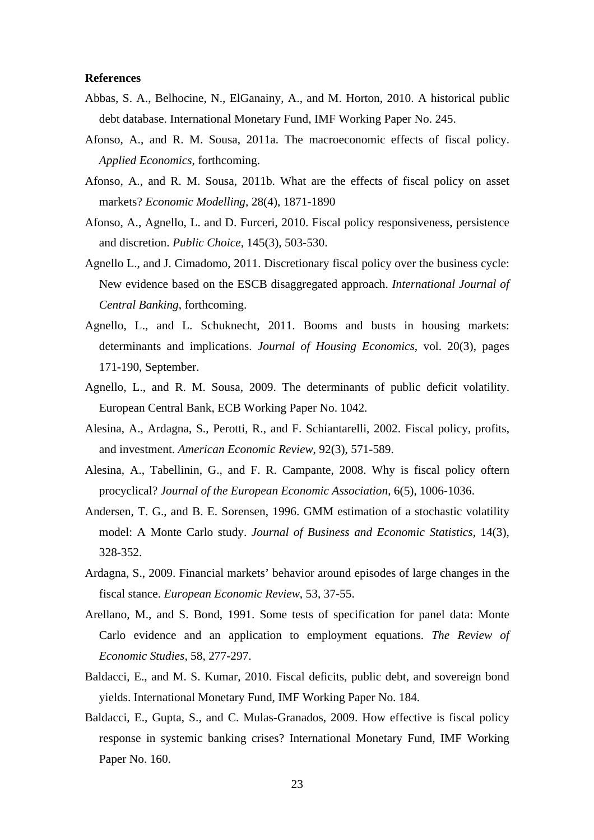#### **References**

- Abbas, S. A., Belhocine, N., ElGanainy, A., and M. Horton, 2010. A historical public debt database. International Monetary Fund, IMF Working Paper No. 245.
- Afonso, A., and R. M. Sousa, 2011a. The macroeconomic effects of fiscal policy. *Applied Economics*, forthcoming.
- Afonso, A., and R. M. Sousa, 2011b. What are the effects of fiscal policy on asset markets? *Economic Modelling*, 28(4), 1871-1890
- Afonso, A., Agnello, L. and D. Furceri, 2010. Fiscal policy responsiveness, persistence and discretion. *Public Choice*, 145(3), 503-530.
- Agnello L., and J. Cimadomo, 2011. Discretionary fiscal policy over the business cycle: New evidence based on the ESCB disaggregated approach. *International Journal of Central Banking*, forthcoming.
- Agnello, L., and L. Schuknecht, 2011. Booms and busts in housing markets: determinants and implications. *Journal of Housing Economics*, vol. 20(3), pages 171-190, September.
- Agnello, L., and R. M. Sousa, 2009. The determinants of public deficit volatility. European Central Bank, ECB Working Paper No. 1042.
- Alesina, A., Ardagna, S., Perotti, R., and F. Schiantarelli, 2002. Fiscal policy, profits, and investment. *American Economic Review*, 92(3), 571-589.
- Alesina, A., Tabellinin, G., and F. R. Campante, 2008. Why is fiscal policy oftern procyclical? *Journal of the European Economic Association*, 6(5), 1006-1036.
- Andersen, T. G., and B. E. Sorensen, 1996. GMM estimation of a stochastic volatility model: A Monte Carlo study. *Journal of Business and Economic Statistics*, 14(3), 328-352.
- Ardagna, S., 2009. Financial markets' behavior around episodes of large changes in the fiscal stance. *European Economic Review*, 53, 37-55.
- Arellano, M., and S. Bond, 1991. Some tests of specification for panel data: Monte Carlo evidence and an application to employment equations. *The Review of Economic Studies*, 58, 277-297.
- Baldacci, E., and M. S. Kumar, 2010. Fiscal deficits, public debt, and sovereign bond yields. International Monetary Fund, IMF Working Paper No. 184.
- Baldacci, E., Gupta, S., and C. Mulas-Granados, 2009. How effective is fiscal policy response in systemic banking crises? International Monetary Fund, IMF Working Paper No. 160.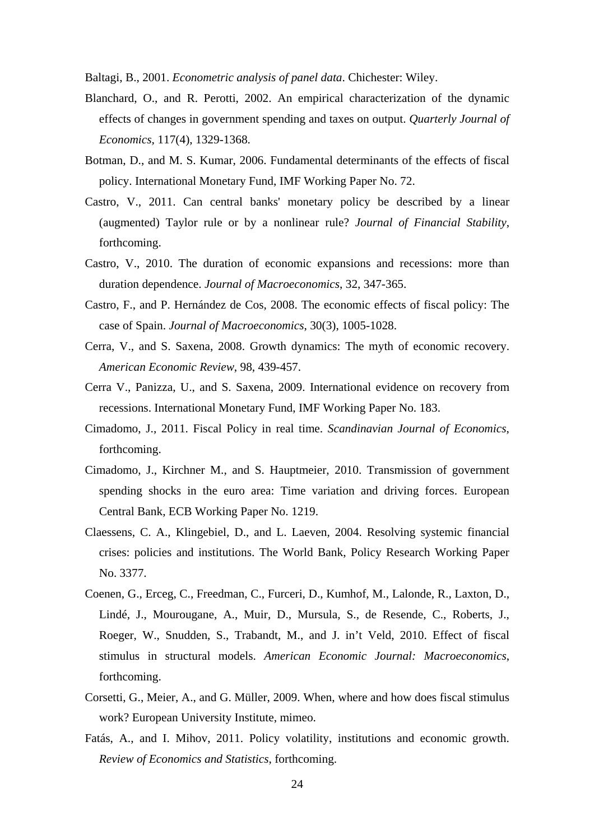Baltagi, B., 2001. *Econometric analysis of panel data*. Chichester: Wiley.

- Blanchard, O., and R. Perotti, 2002. An empirical characterization of the dynamic effects of changes in government spending and taxes on output. *Quarterly Journal of Economics*, 117(4), 1329-1368.
- Botman, D., and M. S. Kumar, 2006. Fundamental determinants of the effects of fiscal policy. International Monetary Fund, IMF Working Paper No. 72.
- Castro, V., 2011. Can central banks' monetary policy be described by a linear (augmented) Taylor rule or by a nonlinear rule? *Journal of Financial Stability*, forthcoming.
- Castro, V., 2010. The duration of economic expansions and recessions: more than duration dependence. *Journal of Macroeconomics*, 32, 347-365.
- Castro, F., and P. Hernández de Cos, 2008. The economic effects of fiscal policy: The case of Spain. *Journal of Macroeconomics*, 30(3), 1005-1028.
- Cerra, V., and S. Saxena, 2008. Growth dynamics: The myth of economic recovery. *American Economic Review*, 98, 439-457.
- Cerra V., Panizza, U., and S. Saxena, 2009. International evidence on recovery from recessions. International Monetary Fund, IMF Working Paper No. 183.
- Cimadomo, J., 2011. Fiscal Policy in real time. *Scandinavian Journal of Economics*, forthcoming.
- Cimadomo, J., Kirchner M., and S. Hauptmeier, 2010. Transmission of government spending shocks in the euro area: Time variation and driving forces. European Central Bank, ECB Working Paper No. 1219.
- Claessens, C. A., Klingebiel, D., and L. Laeven, 2004. Resolving systemic financial crises: policies and institutions. The World Bank, Policy Research Working Paper No. 3377.
- Coenen, G., Erceg, C., Freedman, C., Furceri, D., Kumhof, M., Lalonde, R., Laxton, D., Lindé, J., Mourougane, A., Muir, D., Mursula, S., de Resende, C., Roberts, J., Roeger, W., Snudden, S., Trabandt, M., and J. in't Veld, 2010. Effect of fiscal stimulus in structural models. *American Economic Journal: Macroeconomics*, forthcoming.
- Corsetti, G., Meier, A., and G. Müller, 2009. When, where and how does fiscal stimulus work? European University Institute, mimeo.
- Fatás, A., and I. Mihov, 2011. Policy volatility, institutions and economic growth. *Review of Economics and Statistics*, forthcoming.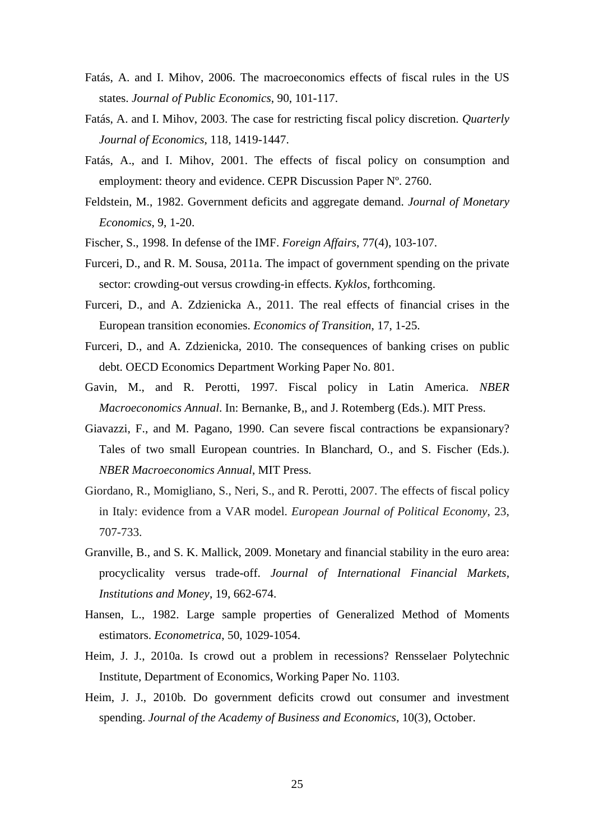- Fatás, A. and I. Mihov, 2006. The macroeconomics effects of fiscal rules in the US states. *Journal of Public Economics*, 90, 101-117.
- Fatás, A. and I. Mihov, 2003. The case for restricting fiscal policy discretion. *Quarterly Journal of Economics*, 118, 1419-1447.
- Fatás, A., and I. Mihov, 2001. The effects of fiscal policy on consumption and employment: theory and evidence. CEPR Discussion Paper Nº. 2760.
- Feldstein, M., 1982. Government deficits and aggregate demand. *Journal of Monetary Economics*, 9, 1-20.
- Fischer, S., 1998. In defense of the IMF. *Foreign Affairs*, 77(4), 103-107.
- Furceri, D., and R. M. Sousa, 2011a. The impact of government spending on the private sector: crowding-out versus crowding-in effects. *Kyklos*, forthcoming.
- Furceri, D., and A. Zdzienicka A., 2011. The real effects of financial crises in the European transition economies. *Economics of Transition*, 17, 1-25.
- Furceri, D., and A. Zdzienicka, 2010. The consequences of banking crises on public debt. OECD Economics Department Working Paper No. 801.
- Gavin, M., and R. Perotti, 1997. Fiscal policy in Latin America. *NBER Macroeconomics Annual*. In: Bernanke, B,, and J. Rotemberg (Eds.). MIT Press.
- Giavazzi, F., and M. Pagano, 1990. Can severe fiscal contractions be expansionary? Tales of two small European countries. In Blanchard, O., and S. Fischer (Eds.). *NBER Macroeconomics Annual*, MIT Press.
- Giordano, R., Momigliano, S., Neri, S., and R. Perotti, 2007. The effects of fiscal policy in Italy: evidence from a VAR model. *European Journal of Political Economy*, 23, 707-733.
- Granville, B., and S. K. Mallick, 2009. Monetary and financial stability in the euro area: procyclicality versus trade-off. *Journal of International Financial Markets, Institutions and Money*, 19, 662-674.
- Hansen, L., 1982. Large sample properties of Generalized Method of Moments estimators. *Econometrica*, 50, 1029-1054.
- Heim, J. J., 2010a. Is crowd out a problem in recessions? Rensselaer Polytechnic Institute, Department of Economics, Working Paper No. 1103.
- Heim, J. J., 2010b. Do government deficits crowd out consumer and investment spending. *Journal of the Academy of Business and Economics*, 10(3), October.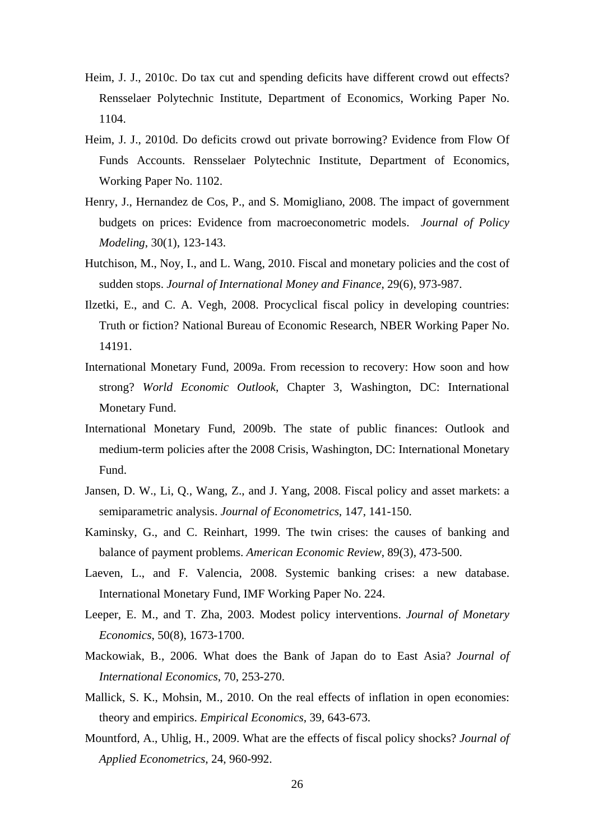- Heim, J. J., 2010c. Do tax cut and spending deficits have different crowd out effects? Rensselaer Polytechnic Institute, Department of Economics, Working Paper No. 1104.
- Heim, J. J., 2010d. Do deficits crowd out private borrowing? Evidence from Flow Of Funds Accounts. Rensselaer Polytechnic Institute, Department of Economics, Working Paper No. 1102.
- Henry, J., Hernandez de Cos, P., and S. Momigliano, 2008. The impact of government budgets on prices: Evidence from macroeconometric models. *Journal of Policy Modeling*, 30(1), 123-143.
- Hutchison, M., Noy, I., and L. Wang, 2010. Fiscal and monetary policies and the cost of sudden stops. *Journal of International Money and Finance*, 29(6), 973-987.
- Ilzetki, E., and C. A. Vegh, 2008. Procyclical fiscal policy in developing countries: Truth or fiction? National Bureau of Economic Research, NBER Working Paper No. 14191.
- International Monetary Fund, 2009a. From recession to recovery: How soon and how strong? *World Economic Outlook*, Chapter 3, Washington, DC: International Monetary Fund.
- International Monetary Fund, 2009b. The state of public finances: Outlook and medium-term policies after the 2008 Crisis, Washington, DC: International Monetary Fund.
- Jansen, D. W., Li, Q., Wang, Z., and J. Yang, 2008. Fiscal policy and asset markets: a semiparametric analysis. *Journal of Econometrics*, 147, 141-150.
- Kaminsky, G., and C. Reinhart, 1999. The twin crises: the causes of banking and balance of payment problems. *American Economic Review*, 89(3), 473-500.
- Laeven, L., and F. Valencia, 2008. Systemic banking crises: a new database. International Monetary Fund, IMF Working Paper No. 224.
- Leeper, E. M., and T. Zha, 2003. Modest policy interventions. *Journal of Monetary Economics*, 50(8), 1673-1700.
- Mackowiak, B., 2006. What does the Bank of Japan do to East Asia? *Journal of International Economics*, 70, 253-270.
- Mallick, S. K., Mohsin, M., 2010. On the real effects of inflation in open economies: theory and empirics. *Empirical Economics*, 39, 643-673.
- Mountford, A., Uhlig, H., 2009. What are the effects of fiscal policy shocks? *Journal of Applied Econometrics*, 24, 960-992.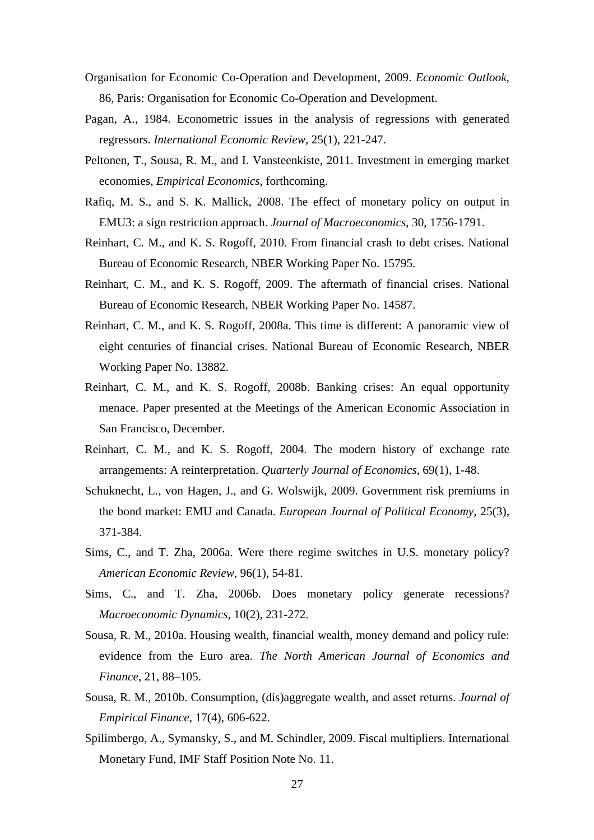- Organisation for Economic Co-Operation and Development, 2009. *Economic Outlook*, 86, Paris: Organisation for Economic Co-Operation and Development.
- Pagan, A., 1984. Econometric issues in the analysis of regressions with generated regressors. *International Economic Review*, 25(1), 221-247.
- Peltonen, T., Sousa, R. M., and I. Vansteenkiste, 2011. Investment in emerging market economies, *Empirical Economics*, forthcoming.
- Rafiq, M. S., and S. K. Mallick, 2008. The effect of monetary policy on output in EMU3: a sign restriction approach. *Journal of Macroeconomics*, 30, 1756-1791.
- Reinhart, C. M., and K. S. Rogoff, 2010. From financial crash to debt crises. National Bureau of Economic Research, NBER Working Paper No. 15795.
- Reinhart, C. M., and K. S. Rogoff, 2009. The aftermath of financial crises. National Bureau of Economic Research, NBER Working Paper No. 14587.
- Reinhart, C. M., and K. S. Rogoff, 2008a. This time is different: A panoramic view of eight centuries of financial crises. National Bureau of Economic Research, NBER Working Paper No. 13882.
- Reinhart, C. M., and K. S. Rogoff, 2008b. Banking crises: An equal opportunity menace. Paper presented at the Meetings of the American Economic Association in San Francisco, December.
- Reinhart, C. M., and K. S. Rogoff, 2004. The modern history of exchange rate arrangements: A reinterpretation. *Quarterly Journal of Economics*, 69(1), 1-48.
- Schuknecht, L., von Hagen, J., and G. Wolswijk, 2009. Government risk premiums in the bond market: EMU and Canada. *European Journal of Political Economy*, 25(3), 371-384.
- Sims, C., and T. Zha, 2006a. Were there regime switches in U.S. monetary policy? *American Economic Review*, 96(1), 54-81.
- Sims, C., and T. Zha, 2006b. Does monetary policy generate recessions? *Macroeconomic Dynamics*, 10(2), 231-272.
- Sousa, R. M., 2010a. Housing wealth, financial wealth, money demand and policy rule: evidence from the Euro area. *The North American Journal of Economics and Finance*, 21, 88–105.
- Sousa, R. M., 2010b. Consumption, (dis)aggregate wealth, and asset returns. *Journal of Empirical Finance*, 17(4), 606-622.
- Spilimbergo, A., Symansky, S., and M. Schindler, 2009. Fiscal multipliers. International Monetary Fund, IMF Staff Position Note No. 11.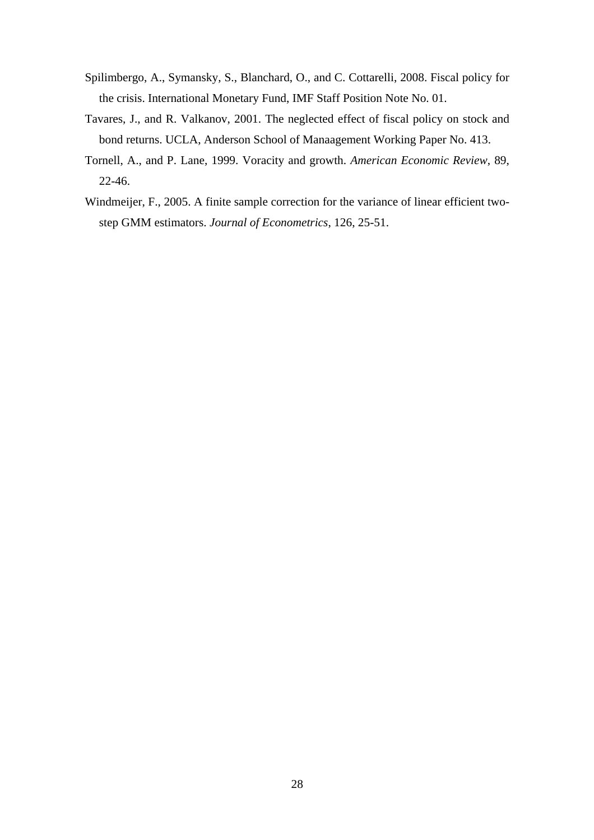- Spilimbergo, A., Symansky, S., Blanchard, O., and C. Cottarelli, 2008. Fiscal policy for the crisis. International Monetary Fund, IMF Staff Position Note No. 01.
- Tavares, J., and R. Valkanov, 2001. The neglected effect of fiscal policy on stock and bond returns. UCLA, Anderson School of Manaagement Working Paper No. 413.
- Tornell, A., and P. Lane, 1999. Voracity and growth. *American Economic Review*, 89, 22-46.
- Windmeijer, F., 2005. A finite sample correction for the variance of linear efficient twostep GMM estimators. *Journal of Econometrics*, 126, 25-51.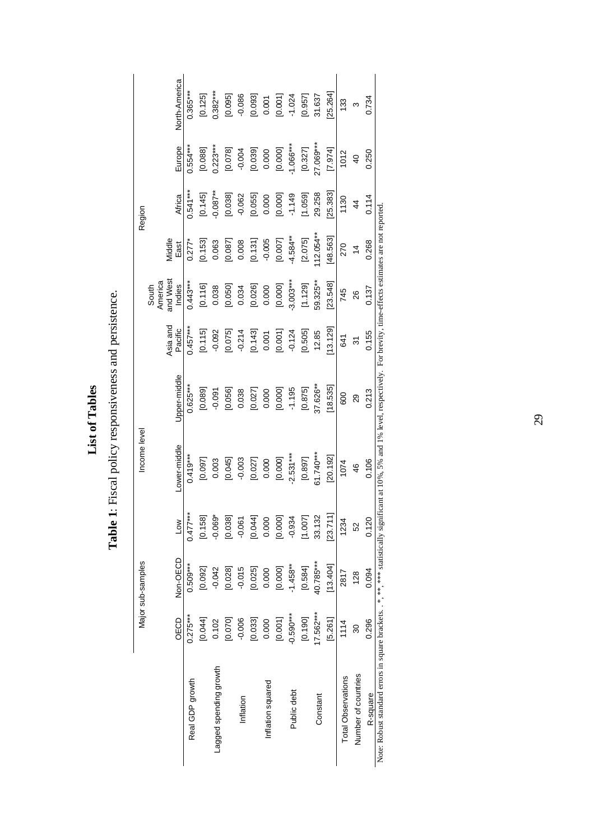Table 1: Fiscal policy responsiveness and persistence. **List of Tables**  List of Tables

**Table 1**: Fiscal policy responsiveness and persistence.

North-America East Africa Europe North-America  $0.365***$ Real GDP growth 0.275\*\*\* 0.509\*\*\* 0.477\*\*\* 0.419\*\*\* 0.625\*\*\* 0.457\*\*\* 0.443\*\*\* 0.277\* 0.541\*\*\* 0.554\*\*\* 0.365\*\*\*  $0.382***$ \*\*\*288;0 \*\*\*280;0 soo;0 860;0 260;0- too;0- 600;0 \$90;0- 270;0- 201;0 \$PMDIB Dilpubeas pappeer  $[25.264]$ [5.261] [13.404] [23.711] [20.192] [18.535] [13.129] [23.548] [48.563] [25.383] [7.974] [25.264]  $[0.001]$ 31.637  $[0.125]$ [0.126] [0.092] [0.092] [0.092] [0.092] [0.092] [0.097] [0.097] [0.092] [0.125] [0.125] [0.125] [0.1  $[0.095]$ [0.070] [0.070] [0.070] [0.0950] [0.0950] [0.07070] [0.075070] [0.07070] [0.07070] [0.07070] [0.07070  $-0.086$  $[0.093]$ [0.033] [0.0251] [0.0251] [0.0270] [0.0270] [0.0271] [0.0270] [0.0270] [0.0270] [0.0270] [0.0270] [0.07070] [0<br>[0.077070] [0.097070] [0.0771] [0.097071] [0.097071] [0.097071] [0.097071] [0.077 [10010] [00010] [00010] [20010] [00010] [10010] [00010] [00010] [00010] [00010] [00010] [10010]  $-1.024$  $[0.957]$ [0.190] [0.190] [0.190] [0.190] [0.507] [1.0075] [1.089] [2.075] [2.075] [2.075] [2.075] [2.075] [2.077] [0.959] [ Constant 17.562\*\*\* 31.562\*\* 31.795\*\*\* 33.132 626\*\* 12.85 59.325 59.325 37.626 12.85 31.627 29.258 27.069\*\*\* 31.637 Inflation - 10010-1 -0.0010 - 10.010 - 10.010 - 10.010- 10.0010- - 10.010- - 10.010- - 10.000- - 10.0<br>1980.01 - 10010- - 10010 - 10010 - 10010 - 10010- - 10010- - 10010- - 10010- - 10010-0.001 Public debt -0.590\*\*\* -1.458\*\* -0.934 -2.531\*\*\* -1.195 -0.124 -3.003\*\*\* -4.584\*\* -1.149 -1.066\*\*\* -1.024 0.734 Inflation squared 0.000 0.000 0.000 0.000 0.000 0.001 0.000 -0.005 0.000 0.000 0.001 R-square 0.296 0.094 0.120 0.106 0.213 0.155 0.137 0.268 0.114 0.250 0.734 133 Total Observations 1114 2012 1114 1234 1245 1246 1254 1270 1281 1281 1281 114 1150 1161 1281 1281 1281 1281 12  $\infty$ Number of countries 30 128 52 46 29 31 26 14 44 40 3  $-1.066***$ Europe  $0.223***$ 27.069\*\*\*  $0.554***$ [0.000]  $[0.327]$  $[7.974]$  $[0.078]$  $-0.004$  $[0.039]$ 0.000  $[0.088]$ 1012 0.250  $\overline{40}$  $0.541***$  $[0.000]$ 29.258  $[25.383]$  $[0.145]$  $[0.038]$  $-0.062$  $[0.055]$  $-1.149$  $[1.059]$ Africa  $0.087***$ 0.000 0.114 1130  $\frac{4}{4}$ Note: Robust standard errors in square brackets. . \*, \*\* \* \*\* statistically significant at 10%, 5% and 1% level, respectively. For brevity, time-effects estimates are not reported. Note: Robust standard errors in square brackets. . \*, \*\*, \*\*\* statistically significant at 10%, 5% and 1% level, respectively. For brevity, time-effects estimates are not reported. Region Major sub-samples Income level Region  $-4.584***$  $112.054**$  $[48.563]$ Middle<br>East  $-0.005$  $[2.075]$  $[0.153]$  $[0.087]$ 0.008  $[0.131]$  $[0.007]$ 0.268  $0.277*$ 0.063 270  $\frac{4}{3}$ and West  $-3.003***$ America 59.325\*\*  $[23.548]$  $0.443***$  $[0.116]$ 0.038  $[0.050]$ 0.034  $[0.026]$ 0.000 [0.000]  $[1.129]$ 0.137 South<br>merica<br>Indies<br>Indies 745 26 Asia and<br>Pacific Asia and  $[13.129]$  $0.457***$  $[0.115]$ -0.092  $[0.075]$  $-0.214$  $[0.143]$ 0.001  $[0.001]$  $-0.124$  $[0.505]$ 12.85 0.155 641  $\overline{3}$ OECD Non-OECD Low Lower-middle Upper-middle Upper-middle 37.626\*\*  $[18.535]$  $[0.000]$  $-1.195$  $0.213$  $[0.089]$  $[0.056]$  $[0.027]$  $[0.875]$  $0.625***$  $-0.091$ 0.038 0.000 600 29 Income level Lower-middle  $-2.531***$  $[0.000]$  $51.740***$  $[20.192]$  $[0.897]$  $0.419***$  $[0.097]$ 0.003  $[0.045]$  $-0.003$  $[0.027]$ 0.000 0.106 1074 46  $[23.711]$  $0.477***$  $[0.158]$  $[0.038]$  $[0.044]$  $[0.000]$  $-0.934$  $[1.007]$ 33.132 0.120  $0.069*$  $0.061$ 0.000 1234  $Low$ 52 Non-OECD Major sub-samples 40.785\*\*\*  $-1.458***$  $0.509***$  $[13.404]$  $[0.000]$  $[0.584]$  $[0.092]$  $-0.042$  $[0.028]$  $-0.015$  $[0.025]$ 0.000 2817 0.094 128  $-0.590***$  $17.562***$ OECD  $0.275***$  $[0.001]$  $[5.261]$  $[0.033]$  $[0.190]$  $[0.044]$ 0.102  $[0.070]$  $-0.006$ 0.000 1114 0.296  $30$ Lagged spending growth Number of countries **Total Observations** Real GDP growth Inflation squared Public debt R-square Inflation Constant

29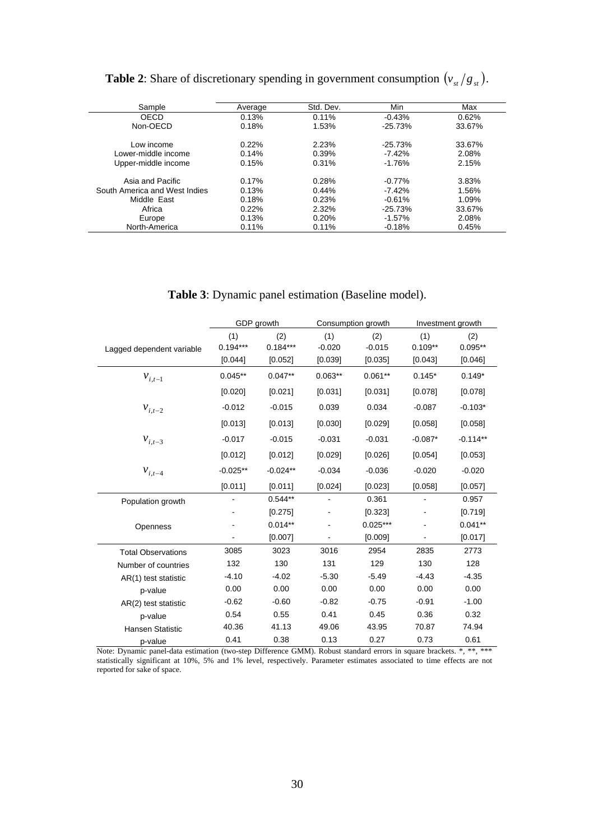| <b>Table 2:</b> Share of discretionary spending in government consumption $(v_{st}/g_{st})$ . |  |  |
|-----------------------------------------------------------------------------------------------|--|--|
|                                                                                               |  |  |

| Sample                        | Average | Std. Dev. | Min       | Max    |
|-------------------------------|---------|-----------|-----------|--------|
| OECD                          | 0.13%   | 0.11%     | $-0.43%$  | 0.62%  |
| Non-OECD                      | 0.18%   | 1.53%     | $-25.73%$ | 33.67% |
| Low income                    | 0.22%   | 2.23%     | $-25.73%$ | 33.67% |
| Lower-middle income           | 0.14%   | 0.39%     | $-7.42%$  | 2.08%  |
| Upper-middle income           | 0.15%   | 0.31%     | $-1.76%$  | 2.15%  |
| Asia and Pacific              | 0.17%   | 0.28%     | $-0.77%$  | 3.83%  |
| South America and West Indies | 0.13%   | 0.44%     | $-7.42%$  | 1.56%  |
| Middle East                   | 0.18%   | 0.23%     | $-0.61%$  | 1.09%  |
| Africa                        | 0.22%   | 2.32%     | $-25.73%$ | 33.67% |
| Europe                        | 0.13%   | 0.20%     | $-1.57\%$ | 2.08%  |
| North-America                 | 0.11%   | 0.11%     | $-0.18%$  | 0.45%  |

#### **Table 3**: Dynamic panel estimation (Baseline model).

|                                    |            | GDP growth |                | Consumption growth |               | Investment growth |
|------------------------------------|------------|------------|----------------|--------------------|---------------|-------------------|
|                                    | (1)        | (2)        | (1)            | (2)                | (1)           | (2)               |
| Lagged dependent variable          | $0.194***$ | $0.184***$ | $-0.020$       | $-0.015$           | $0.109**$     | $0.095**$         |
|                                    | [0.044]    | [0.052]    | [0.039]        | [0.035]            | [0.043]       | [0.046]           |
| $v_{i,t-1}$                        | $0.045**$  | $0.047**$  | $0.063**$      | $0.061**$          | $0.145*$      | $0.149*$          |
|                                    | [0.020]    | [0.021]    | [0.031]        | [0.031]            | [0.078]       | [0.078]           |
| $v_{i,t-2}$                        | $-0.012$   | $-0.015$   | 0.039          | 0.034              | $-0.087$      | $-0.103*$         |
|                                    | [0.013]    | [0.013]    | [0.030]        | [0.029]            | [0.058]       | [0.058]           |
| $\boldsymbol{\mathcal{V}}_{i,t-3}$ | $-0.017$   | $-0.015$   | $-0.031$       | $-0.031$           | $-0.087*$     | $-0.114**$        |
|                                    | [0.012]    | [0.012]    | [0.029]        | [0.026]            | [0.054]       | [0.053]           |
| $v_{i,t-4}$                        | $-0.025**$ | $-0.024**$ | $-0.034$       | $-0.036$           | $-0.020$      | $-0.020$          |
|                                    | [0.011]    | [0.011]    | [0.024]        | [0.023]            | [0.058]       | [0.057]           |
| Population growth                  |            | $0.544**$  | $\blacksquare$ | 0.361              | $\frac{1}{2}$ | 0.957             |
|                                    |            | [0.275]    |                | [0.323]            |               | [0.719]           |
| Openness                           |            | $0.014**$  |                | $0.025***$         |               | $0.041**$         |
|                                    |            | [0.007]    |                | [0.009]            |               | [0.017]           |
| <b>Total Observations</b>          | 3085       | 3023       | 3016           | 2954               | 2835          | 2773              |
| Number of countries                | 132        | 130        | 131            | 129                | 130           | 128               |
| AR(1) test statistic               | $-4.10$    | $-4.02$    | $-5.30$        | $-5.49$            | $-4.43$       | $-4.35$           |
| p-value                            | 0.00       | 0.00       | 0.00           | 0.00               | 0.00          | 0.00              |
| AR(2) test statistic               | $-0.62$    | $-0.60$    | $-0.82$        | $-0.75$            | $-0.91$       | $-1.00$           |
| p-value                            | 0.54       | 0.55       | 0.41           | 0.45               | 0.36          | 0.32              |
| <b>Hansen Statistic</b>            | 40.36      | 41.13      | 49.06          | 43.95              | 70.87         | 74.94             |
| p-value                            | 0.41       | 0.38       | 0.13           | 0.27               | 0.73          | 0.61              |

Note: Dynamic panel-data estimation (two-step Difference GMM). Robust standard errors in square brackets. \*, \*\*, \*\*\* statistically significant at 10%, 5% and 1% level, respectively. Parameter estimates associated to time effects are not reported for sake of space.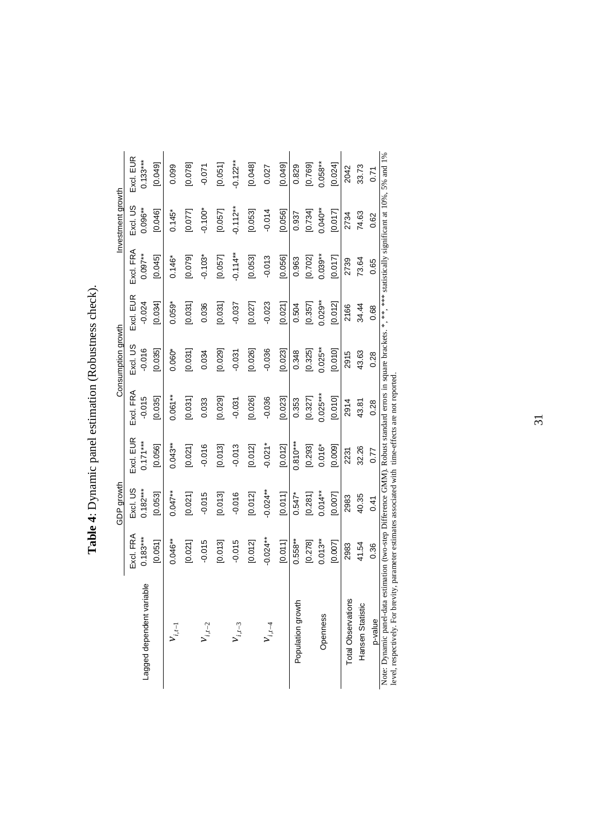|                                                                                                                                           |             | GDP growth  |                      |            | Consumption growth |           |            | Investment growth |                 |
|-------------------------------------------------------------------------------------------------------------------------------------------|-------------|-------------|----------------------|------------|--------------------|-----------|------------|-------------------|-----------------|
|                                                                                                                                           | Excl. FRA   | Excl. US    | Exd. EUR             | Excl. FRA  | Excl. US           | Excl. EUR | Excl. FRA  | Exd. US           | Excl. EUR       |
| Lagged dependent variable                                                                                                                 | $0.183***$  | $0.182***$  | $0.171***$           | $-0.015$   | $-0.016$           | $-0.024$  | $0.097***$ | $0.096**$         | $0.133***$      |
|                                                                                                                                           | [0.051]     | [0.053]     | [0.056]              | [0.035]    | [0.035]            | [0.034]   | [0.045]    | [0.046]           | [0.049]         |
| $v_{i,t-1}$                                                                                                                               | $0.046**$   | $0.047***$  | $0.043**$            | $0.061***$ | $0.060*$           | $0.059*$  | $0.146*$   | $0.145*$          | 0.099           |
|                                                                                                                                           | [0.021]     | [0.021]     | [0.021]              | [0.031]    | [0.031]            | [0.031]   | [0.079]    | [0.077]           | [0.078]         |
| $V_{i,t-2}$                                                                                                                               | $-0.015$    | $-0.015$    | $-0.016$             | 0.033      | 0.034              | 0.036     | $-0.103*$  | $-0.100*$         | $-0.071$        |
|                                                                                                                                           | [0.013]     | [0.013]     | [0.013]              | [0.029]    | [0.029]            | [0.031]   | [0.057]    | [0.057]           | [0.051]         |
| $v_{i,t-3}$                                                                                                                               | $-0.015$    | $-0.016$    | $-0.013$             | $-0.031$   | $-0.031$           | $-0.037$  | $-0.114**$ | $-0.112**$        | $-0.122**$      |
|                                                                                                                                           | [0.012]     | [0.012]     | [0.012]              | [0.026]    | [0.026]            | [0.027]   | [0.053]    | [0.053]           | [0.048]         |
|                                                                                                                                           | $-0.024***$ | $-0.024***$ | $-0.02$ <sup>*</sup> | $-0.036$   | $-0.036$           | $-0.023$  | $-0.013$   | $-0.014$          | 0.027           |
|                                                                                                                                           | [0.011]     | [0.011]     | [0.012]              | [0.023]    | [0.023]            | [0.021]   | [0.056]    | [0.056]           | [0.049]         |
| Population growth                                                                                                                         | $0.558***$  | $0.547*$    | $0.810***$           | 0.353      | 0.348              | 0.504     | 0.963      | 0.937             | 0.829           |
|                                                                                                                                           | [0.278]     | [0.281]     | [0.293]              | [0.327]    | [0.325]            | [0.357]   | [0.702]    | [0.734]           | [0.769]         |
| Openness                                                                                                                                  | $0.013**$   | $0.014**$   | $0.016*$             | $0.025***$ | $0.025***$         | $0.029**$ | $0.039***$ | $0.040**$         | $0.058***$      |
|                                                                                                                                           | [0.007]     | [0.007]     | [0.009]              | [0.010]    | [0.010]            | [0.012]   | [0.017]    | [0.017]           | [0.024]         |
| <b>Total Observations</b>                                                                                                                 | 2983        | 2983        | 2231                 | 2914       | 2915               | 2166      | 2739       | 2734              | 2042            |
| Hansen Statistic                                                                                                                          | 41.54       | 40.35       | 32.26                | 43.81      | 43.63              | 34.44     | 73.64      | 74.63             | 33.73           |
| p-value                                                                                                                                   | 0.36        | 0.41        | 0.77                 | 0.28       | 0.28               | 0.68      | 0.65       | 0.62              | 0.71            |
| Note: Dynamic panal data actimation (two-stap Difference CMMA) Polynet standards in contrast of * ** ** ** ** ** steright circular at 10% |             |             |                      |            |                    |           |            |                   | $50%$ and $10%$ |

Table 4: Dynamic panel estimation (Robustness check). **Table 4**: Dynamic panel estimation (Robustness check).

statistically significant at 10%, 5% and 1% Note: Dynamic panel-data estimation (two-step Difference GMM). Robust standard errors in square brackets. \*, \*\*\*, \*\*\*\* statistically significant at 10%, 5% and 1% Note: Dynamic panel-data estimation (two-step Difference GMM). Robust standard errors in square brackets. \*, \*\*, \*\*<br>level, respectively. For brevity, parameter estimates associated with time-effects are not reported. level, respectively. For brevity, parameter estimates associated with time-effects are not reported.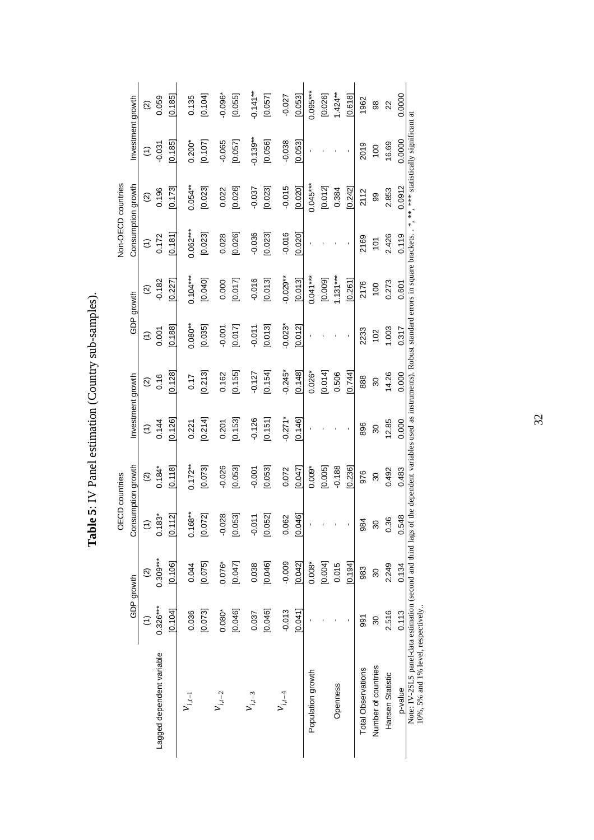Table 5: IV Panel estimation (Country sub-samples). **Table 5**: IV Panel estimation (Country sub-samples).

|                                                                                                  |                      |                          | <b>OECD</b> countries  |                    |                      |                    |                      |                          |                  | Non-OECD countries       |                      |                    |
|--------------------------------------------------------------------------------------------------|----------------------|--------------------------|------------------------|--------------------|----------------------|--------------------|----------------------|--------------------------|------------------|--------------------------|----------------------|--------------------|
|                                                                                                  |                      | GDP growth               | Consumption growth     |                    | Investment growth    |                    |                      | GDP growth               |                  | Consumption growth       | Investment growth    |                    |
|                                                                                                  | $\widehat{\epsilon}$ | $\widehat{\mathfrak{D}}$ | $\widehat{\epsilon}$   | $\widehat{\Omega}$ | $\widehat{\epsilon}$ | $\widehat{\Omega}$ | $\widehat{\epsilon}$ | $\widehat{\mathfrak{Q}}$ | $\widehat{\tau}$ | $\widehat{\mathfrak{Q}}$ | $\widehat{\epsilon}$ | $\widehat{\infty}$ |
| Lagged dependent variable                                                                        | $0.326***$           | $0.309***$               | $0.183*$               | $0.184*$           | 0.144                | 0.16               | 0.001                | $-0.182$                 | 0.172            | 0.196                    | $-0.031$             | 0.059              |
|                                                                                                  | 0.104                | [0.106]                  | 112<br><u>ା</u>        | [0.118]            | [0.126]              | 0.128              | [0.188]              | [0.227]                  | [0.181]          | 0.173                    | [0.185]              | 0.185              |
| $v_{i,t-1}$                                                                                      | 0.036                | 0.044                    | 168**<br>$\frac{1}{2}$ | $0.172**$          | 0.221                | 0.17               | $0.080**$            | $0.104***$               | $0.062***$       | $0.054***$               | $0.200*$             | 0.135              |
|                                                                                                  | [0.073]              | [0.075]                  | 072]<br><u>୦</u>       | [0.073]            | [0.214]              | [0.213]            | [0.035]              | [0.040]                  | [0.023]          | [0.023]                  | [0.107]              | [0.104]            |
| $v_{i,t-2}$                                                                                      | $0.080*$             | $0.076*$                 | 028<br>ငှ              | $-0.026$           | 0.201                | 0.162              | $-0.001$             | 0.000                    | 0.028            | 0.022                    | $-0.065$             | $-0.096*$          |
|                                                                                                  | [0.046]              | [0.047]                  | 053]<br>S.             | [0.053]            | [0.153]              | [0.155]            | [0.017]              | [0.017]                  | [0.026]          | [0.026]                  | [0.057]              | [0.055]            |
| $v_{i,t-3}$                                                                                      | 0.037                | 0.038                    | 511<br>ငှ              | $-0.001$           | $-0.126$             | $-0.127$           | $-0.011$             | $-0.016$                 | $-0.036$         | $-0.037$                 | $-0.139**$           | $0.141***$         |
|                                                                                                  | [0.046]              | [0.046]                  | 052]<br>S              | [0.053]            | [0.151]              | [0.154]            | [0.013]              | [0.013]                  | [0.023]          | [0.023]                  | [0.056]              | [0.057]            |
| $v_{i,t-4}$                                                                                      | $-0.013$             | $-0.009$                 | 062<br>$\circ$         | 0.072              | $-0.271*$            | $-0.245*$          | $-0.023$ *           | $-0.029**$               | $-0.016$         | $-0.015$                 | $-0.038$             | $-0.027$           |
|                                                                                                  | 0.041                | [0.042]                  | 046<br><u>୦</u>        | [0.047]            | [0.146]              | [0.148]            | [0.012]              | [0.013]                  | [0.020]          | [0.020]                  | [0.053]              | [0.053]            |
| Population growth                                                                                |                      | $0.008*$                 |                        | $0.009*$           |                      | $0.026*$           |                      | $0.041***$               |                  | $0.045***$               |                      | $0.095***$         |
|                                                                                                  |                      | [0.004]                  |                        | [0.005]            |                      | [0.014]            |                      | [0.009]                  |                  | [0.012]                  |                      | [0.026]            |
| Openness                                                                                         |                      | 0.015                    |                        | $-0.188$           |                      | 0.506              |                      | $1.131***$               |                  | 0.384                    |                      | $1.424***$         |
|                                                                                                  |                      | [0.194]                  |                        | [0.236]            |                      | [0.744]            |                      | [0.261]                  |                  | [0.242]                  |                      | [0.618]            |
| <b>Total Observations</b>                                                                        | 591                  | 983                      | 984                    | 976                | 896                  | 888                | 2233                 | 2176                     | 2169             | 2112                     | 2019                 | 1962               |
| Number of countries                                                                              | 30                   | 30                       | 30                     | 30                 | 30                   | 30                 | 102                  | 100                      | 101              | 99                       | 100                  | 98                 |
| Hansen Statistic                                                                                 | 2.516                | 2.249                    | 1.36                   | 0.492              | 12.85                | 14.26              | 1.003                | 0.273                    | 2.426            | 2.853                    | 16.69                | 22                 |
| p-value                                                                                          | 0.113                | 0.134                    | 548<br>$\circ$         | 0.483              | 0.000                | 0.000              | 0.317                | 0.601                    | 0.119            | 0.0912                   | 0.0000               | 0.0000             |
| Note: IV-2SLS panel-data estimation (second and third lags<br>10%, 5% and 1% level, respectively |                      |                          |                        |                    |                      |                    |                      |                          |                  |                          |                      |                    |

32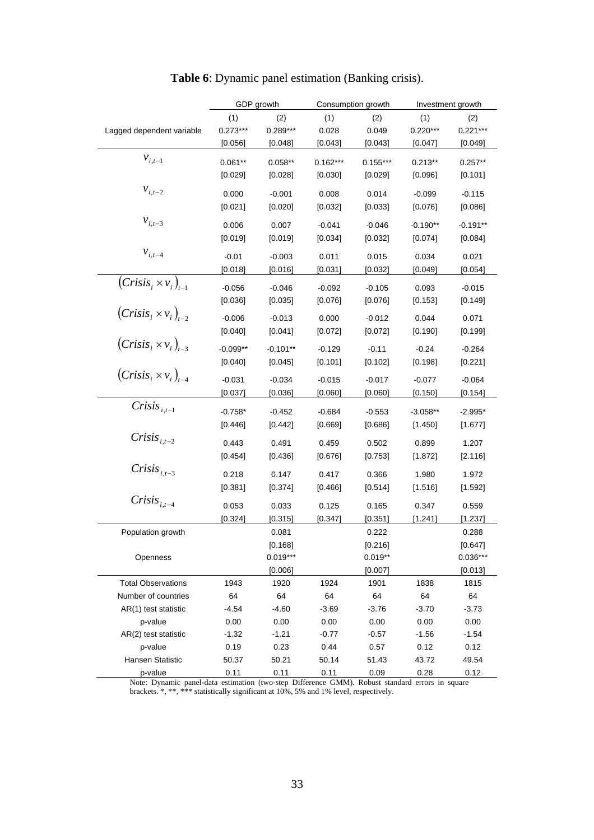|                               |            | GDP growth |            | Consumption growth |            | Investment growth |
|-------------------------------|------------|------------|------------|--------------------|------------|-------------------|
|                               | (1)        | (2)        | (1)        | (2)                | (1)        | (2)               |
| Lagged dependent variable     | $0.273***$ | 0.289***   | 0.028      | 0.049              | $0.220***$ | $0.221***$        |
|                               | [0.056]    | [0.048]    | [0.043]    | [0.043]            | [0.047]    | $[0.049]$         |
| $v_{i,t-1}$                   | $0.061**$  | $0.058**$  | $0.162***$ | $0.155***$         | $0.213**$  | $0.257**$         |
|                               | [0.029]    | [0.028]    | [0.030]    | [0.029]            | [0.096]    | [0.101]           |
|                               |            |            |            |                    |            |                   |
| $\boldsymbol{\nu}_{i,t-2}$    | 0.000      | $-0.001$   | 0.008      | 0.014              | $-0.099$   | $-0.115$          |
|                               | [0.021]    | [0.020]    | [0.032]    | [0.033]            | [0.076]    | [0.086]           |
| $\mathcal{V}_{i,t-3}$         | 0.006      | 0.007      | $-0.041$   | $-0.046$           | $-0.190**$ | $-0.191**$        |
|                               | [0.019]    | [0.019]    | [0.034]    | [0.032]            | $[0.074]$  | [0.084]           |
| $v_{i,t-4}$                   |            |            |            |                    |            |                   |
|                               | $-0.01$    | $-0.003$   | 0.011      | 0.015              | 0.034      | 0.021             |
|                               | [0.018]    | [0.016]    | [0.031]    | [0.032]            | [0.049]    | [0.054]           |
| $(Crisis_i \times v_i)_{t=1}$ | $-0.056$   | $-0.046$   | $-0.092$   | $-0.105$           | 0.093      | $-0.015$          |
|                               | [0.036]    | [0.035]    | [0.076]    | [0.076]            | [0.153]    | [0.149]           |
| $(Crisis_i \times v_i)_{t=2}$ | $-0.006$   | $-0.013$   | 0.000      | $-0.012$           | 0.044      | 0.071             |
|                               | [0.040]    | [0.041]    | $[0.072]$  | [0.072]            | [0.190]    | [0.199]           |
| $(Crisis_i \times v_i)_{t=3}$ |            |            |            |                    |            |                   |
|                               | $-0.099**$ | $-0.101**$ | $-0.129$   | $-0.11$            | $-0.24$    | $-0.264$          |
|                               | [0.040]    | [0.045]    | [0.101]    | [0.102]            | [0.198]    | [0.221]           |
| $(Crisis_i \times v_i)_{t-4}$ | $-0.031$   | $-0.034$   | $-0.015$   | $-0.017$           | $-0.077$   | $-0.064$          |
|                               | [0.037]    | [0.036]    | [0.060]    | [0.060]            | [0.150]    | [0.154]           |
| Crisis $_{i,t-1}$             |            |            |            |                    |            |                   |
|                               | $-0.758*$  | $-0.452$   | $-0.684$   | $-0.553$           | $-3.058**$ | $-2.995*$         |
|                               | [0.446]    | $[0.442]$  | [0.669]    | [0.686]            | [1.450]    | [1.677]           |
| $Crisis_{i,t-2}$              | 0.443      | 0.491      | 0.459      | 0.502              | 0.899      | 1.207             |
|                               | [0.454]    | [0.436]    | [0.676]    | [0.753]            | [1.872]    | [2.116]           |
| Crisis $_{i,t-3}$             | 0.218      | 0.147      | 0.417      | 0.366              | 1.980      | 1.972             |
|                               |            |            |            |                    |            |                   |
|                               | [0.381]    | [0.374]    | [0.466]    | [0.514]            | [1.516]    | [1.592]           |
| $Crisis_{i.t-4}$              | 0.053      | 0.033      | 0.125      | 0.165              | 0.347      | 0.559             |
|                               | [0.324]    | [0.315]    | [0.347]    | [0.351]            | [1.241]    | [1.237]           |
| Population growth             |            | 0.081      |            | 0.222              |            | 0.288             |
|                               |            | [0.168]    |            | [0.216]            |            | [0.647]           |
| Openness                      |            | $0.019***$ |            | $0.019**$          |            | $0.036***$        |
|                               |            | [0.006]    |            | [0.007]            |            | [0.013]           |
| <b>Total Observations</b>     | 1943       | 1920       | 1924       | 1901               | 1838       | 1815              |
| Number of countries           | 64         | 64         | 64         | 64                 | 64         | 64                |
| AR(1) test statistic          | $-4.54$    | $-4.60$    | $-3.69$    | $-3.76$            | $-3.70$    | $-3.73$           |
| p-value                       | 0.00       | 0.00       | 0.00       | 0.00               | 0.00       | 0.00              |
| $AR(2)$ test statistic        | $-1.32$    | $-1.21$    | $-0.77$    | $-0.57$            | $-1.56$    | $-1.54$           |
| p-value                       | 0.19       | 0.23       | 0.44       | 0.57               | 0.12       | 0.12              |
| Hansen Statistic              | 50.37      | 50.21      | 50.14      | 51.43              | 43.72      | 49.54             |
| p-value                       | 0.11       | 0.11       | 0.11       | 0.09               | 0.28       | 0.12              |

## **Table 6**: Dynamic panel estimation (Banking crisis).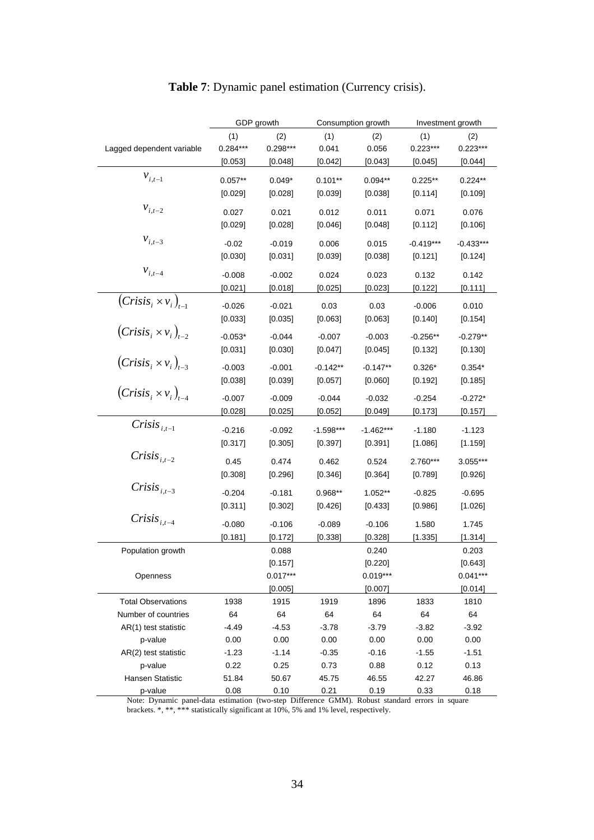|                               |            | GDP growth |             | Consumption growth | Investment growth |             |
|-------------------------------|------------|------------|-------------|--------------------|-------------------|-------------|
|                               | (1)        | (2)        | (1)         | (2)                | (1)               | (2)         |
| Lagged dependent variable     | $0.284***$ | 0.298***   | 0.041       | 0.056              | $0.223***$        | $0.223***$  |
|                               | [0.053]    | [0.048]    | $[0.042]$   | [0.043]            | [0.045]           | [0.044]     |
| $v_{i,t-1}$                   |            |            |             |                    |                   |             |
|                               | $0.057**$  | $0.049*$   | $0.101**$   | $0.094**$          | $0.225**$         | $0.224**$   |
|                               | [0.029]    | [0.028]    | [0.039]     | [0.038]            | [0.114]           | [0.109]     |
| $\mathcal{V}_{i,t-2}$         | 0.027      | 0.021      | 0.012       | 0.011              | 0.071             | 0.076       |
|                               | [0.029]    | [0.028]    | [0.046]     | [0.048]            | [0.112]           | [0.106]     |
| $\mathcal{V}_{i,t-3}$         |            |            |             |                    |                   |             |
|                               | $-0.02$    | $-0.019$   | 0.006       | 0.015              | $-0.419***$       | $-0.433***$ |
|                               | [0.030]    | [0.031]    | [0.039]     | [0.038]            | [0.121]           | $[0.124]$   |
| $v_{i,t-4}$                   | $-0.008$   | $-0.002$   | 0.024       | 0.023              | 0.132             | 0.142       |
|                               | [0.021]    | [0.018]    | [0.025]     | [0.023]            | [0.122]           | [0.111]     |
| $(Crisis_i \times v_i)_{t-1}$ | $-0.026$   | $-0.021$   | 0.03        | 0.03               | $-0.006$          | 0.010       |
|                               | [0.033]    | [0.035]    | [0.063]     | [0.063]            | [0.140]           |             |
|                               |            |            |             |                    |                   | [0.154]     |
| $(Crisis_i \times v_i)_{t-2}$ | $-0.053*$  | $-0.044$   | $-0.007$    | $-0.003$           | $-0.256**$        | $-0.279**$  |
|                               | [0.031]    | [0.030]    | [0.047]     | [0.045]            | [0.132]           | [0.130]     |
| $(Crisis_i \times v_i)_{t=3}$ | $-0.003$   | $-0.001$   | $-0.142**$  | $-0.147**$         | $0.326*$          | $0.354*$    |
|                               | [0.038]    | [0.039]    | [0.057]     | $[0.060]$          | [0.192]           | [0.185]     |
| $(Crisis_i \times v_i)_{t=4}$ |            |            |             |                    |                   |             |
|                               | $-0.007$   | $-0.009$   | $-0.044$    | $-0.032$           | $-0.254$          | $-0.272*$   |
|                               | [0.028]    | $[0.025]$  | [0.052]     | [0.049]            | [0.173]           | [0.157]     |
| $Crisis_{i.t-1}$              | $-0.216$   | $-0.092$   | $-1.598***$ | $-1.462***$        | $-1.180$          | $-1.123$    |
|                               | [0.317]    | [0.305]    | [0.397]     | [0.391]            | $[1.086]$         | $[1.159]$   |
| $Crisis_{i,t-2}$              |            |            |             |                    |                   |             |
|                               | 0.45       | 0.474      | 0.462       | 0.524              | 2.760***          | 3.055***    |
|                               | [0.308]    | [0.296]    | [0.346]     | [0.364]            | $[0.789]$         | [0.926]     |
| Crisis $_{i,t-3}$             | $-0.204$   | $-0.181$   | $0.968**$   | $1.052**$          | $-0.825$          | $-0.695$    |
|                               | [0.311]    | [0.302]    | [0.426]     | [0.433]            | [0.986]           | [1.026]     |
| $Crisis_{i,t-4}$              |            | $-0.106$   |             |                    |                   |             |
|                               | $-0.080$   |            | $-0.089$    | $-0.106$           | 1.580             | 1.745       |
|                               | [0.181]    | [0.172]    | [0.338]     | [0.328]            | [1.335]           | [1.314]     |
| Population growth             |            | 0.088      |             | 0.240              |                   | 0.203       |
|                               |            | [0.157]    |             | [0.220]            |                   | [0.643]     |
| Openness                      |            | $0.017***$ |             | $0.019***$         |                   | $0.041***$  |
|                               |            | [0.005]    |             | [0.007]            |                   | [0.014]     |
| <b>Total Observations</b>     | 1938       | 1915       | 1919        | 1896               | 1833              | 1810        |
| Number of countries           | 64         | 64         | 64          | 64                 | 64                | 64          |
| AR(1) test statistic          | $-4.49$    | $-4.53$    | $-3.78$     | $-3.79$            | $-3.82$           | $-3.92$     |
| p-value                       | 0.00       | 0.00       | 0.00        | 0.00               | 0.00              | 0.00        |
| AR(2) test statistic          | $-1.23$    | $-1.14$    | $-0.35$     | $-0.16$            | $-1.55$           | $-1.51$     |
| p-value                       | 0.22       | 0.25       | 0.73        | 0.88               | 0.12              | 0.13        |
| Hansen Statistic              | 51.84      | 50.67      | 45.75       | 46.55              | 42.27             | 46.86       |
| p-value                       | 0.08       | 0.10       | 0.21        | 0.19               | 0.33              | 0.18        |

### **Table 7**: Dynamic panel estimation (Currency crisis).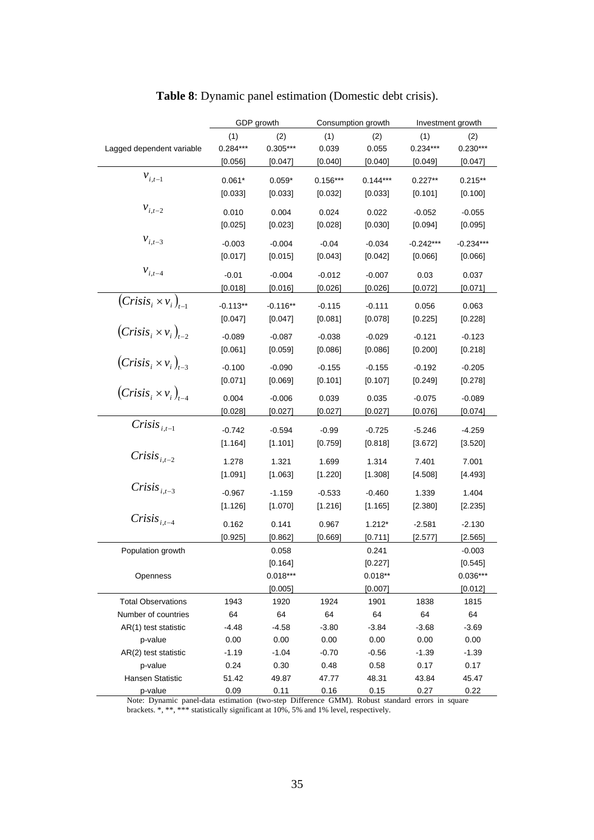|                               |            | GDP growth |            | Consumption growth | Investment growth |             |
|-------------------------------|------------|------------|------------|--------------------|-------------------|-------------|
|                               | (1)        | (2)        | (1)        | (2)                | (1)               | (2)         |
| Lagged dependent variable     | $0.284***$ | $0.305***$ | 0.039      | 0.055              | $0.234***$        | $0.230***$  |
|                               | [0.056]    | [0.047]    | [0.040]    | [0.040]            | [0.049]           | [0.047]     |
| $v_{i,t-1}$                   | $0.061*$   | $0.059*$   | $0.156***$ | $0.144***$         | $0.227**$         | $0.215**$   |
|                               |            |            |            |                    |                   |             |
|                               | [0.033]    | [0.033]    | $[0.032]$  | [0.033]            | [0.101]           | [0.100]     |
| $\boldsymbol{\nu}_{i,t-2}$    | 0.010      | 0.004      | 0.024      | 0.022              | $-0.052$          | $-0.055$    |
|                               | [0.025]    | [0.023]    | [0.028]    | [0.030]            | [0.094]           | [0.095]     |
| $v_{i,t-3}$                   | $-0.003$   | $-0.004$   | $-0.04$    | $-0.034$           | $-0.242***$       | $-0.234***$ |
|                               |            |            | [0.043]    |                    |                   |             |
|                               | [0.017]    | [0.015]    |            | [0.042]            | [0.066]           | [0.066]     |
| $v_{i,t-4}$                   | $-0.01$    | $-0.004$   | $-0.012$   | $-0.007$           | 0.03              | 0.037       |
|                               | [0.018]    | [0.016]    | [0.026]    | [0.026]            | [0.072]           | [0.071]     |
| $(Crisis_i \times v_i)_{t=1}$ | $-0.113**$ | $-0.116**$ | $-0.115$   | $-0.111$           | 0.056             | 0.063       |
|                               | [0.047]    | [0.047]    | [0.081]    | [0.078]            | [0.225]           | [0.228]     |
| $(Crisis_i \times v_i)_{t=2}$ |            |            |            |                    |                   |             |
|                               | $-0.089$   | $-0.087$   | $-0.038$   | $-0.029$           | $-0.121$          | $-0.123$    |
|                               | [0.061]    | [0.059]    | [0.086]    | [0.086]            | [0.200]           | [0.218]     |
| $(Crisis_i \times v_i)_{t=3}$ | $-0.100$   | $-0.090$   | $-0.155$   | $-0.155$           | $-0.192$          | $-0.205$    |
|                               | [0.071]    | [0.069]    | [0.101]    | [0.107]            | $[0.249]$         | [0.278]     |
| $(Crisis_i \times v_i)_{t-4}$ | 0.004      | $-0.006$   | 0.039      | 0.035              | $-0.075$          | $-0.089$    |
|                               |            |            |            |                    |                   |             |
|                               | [0.028]    | [0.027]    | [0.027]    | [0.027]            | [0.076]           | [0.074]     |
| $Crisis_{i,t-1}$              | $-0.742$   | $-0.594$   | $-0.99$    | $-0.725$           | $-5.246$          | $-4.259$    |
|                               | [1.164]    | [1.101]    | [0.759]    | [0.818]            | [3.672]           | [3.520]     |
| $Crisis_{i,t-2}$              | 1.278      | 1.321      | 1.699      | 1.314              | 7.401             | 7.001       |
|                               | [1.091]    | [1.063]    | [1.220]    | [1.308]            | [4.508]           | [4.493]     |
| Crisis $_{i,t-3}$             |            |            |            |                    |                   |             |
|                               | $-0.967$   | $-1.159$   | $-0.533$   | $-0.460$           | 1.339             | 1.404       |
|                               | [1.126]    | [1.070]    | [1.216]    | [1.165]            | [2.380]           | [2.235]     |
| $Crisis_{i,t-4}$              | 0.162      | 0.141      | 0.967      | $1.212*$           | $-2.581$          | $-2.130$    |
|                               | [0.925]    | [0.862]    | [0.669]    | [0.711]            | [2.577]           | [2.565]     |
| Population growth             |            | 0.058      |            | 0.241              |                   | $-0.003$    |
|                               |            | [0.164]    |            | [0.227]            |                   | [0.545]     |
| Openness                      |            | $0.018***$ |            | $0.018**$          |                   | $0.036***$  |
|                               |            | [0.005]    |            | [0.007]            |                   | [0.012]     |
| <b>Total Observations</b>     | 1943       | 1920       | 1924       | 1901               | 1838              | 1815        |
| Number of countries           | 64         | 64         | 64         | 64                 | 64                | 64          |
| AR(1) test statistic          | $-4.48$    | $-4.58$    | $-3.80$    | $-3.84$            | $-3.68$           | $-3.69$     |
| p-value                       | 0.00       | 0.00       | 0.00       | 0.00               | 0.00              | 0.00        |
| AR(2) test statistic          | $-1.19$    | $-1.04$    | $-0.70$    | $-0.56$            | $-1.39$           | $-1.39$     |
| p-value                       | 0.24       | 0.30       | 0.48       | 0.58               | 0.17              | 0.17        |
| Hansen Statistic              | 51.42      | 49.87      | 47.77      | 48.31              | 43.84             | 45.47       |
| p-value                       | 0.09       | 0.11       | 0.16       | 0.15               | 0.27              | 0.22        |
|                               |            |            |            |                    |                   |             |

#### **Table 8**: Dynamic panel estimation (Domestic debt crisis).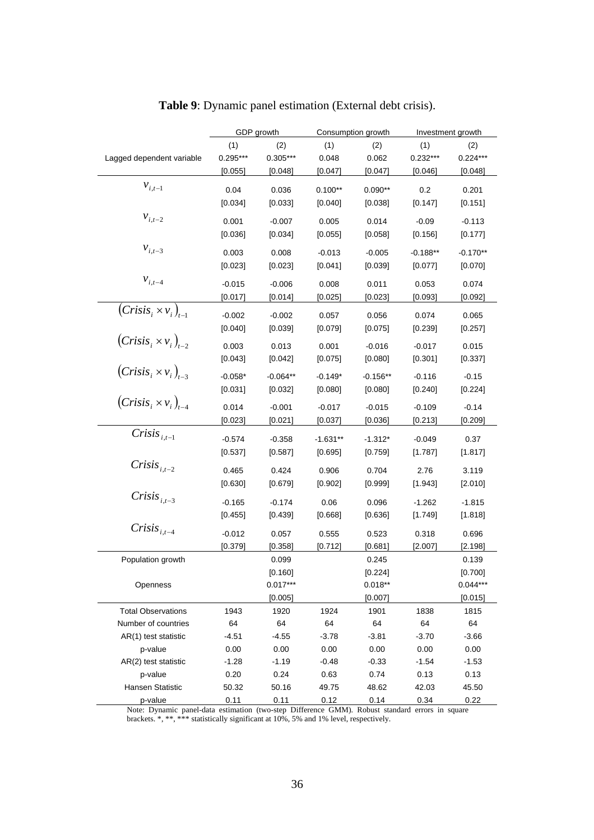|                               |            | GDP growth |            | Consumption growth |            | Investment growth |
|-------------------------------|------------|------------|------------|--------------------|------------|-------------------|
|                               | (1)        | (2)        | (1)        | (2)                | (1)        | (2)               |
| Lagged dependent variable     | $0.295***$ | 0.305***   | 0.048      | 0.062              | $0.232***$ | $0.224***$        |
|                               | [0.055]    | [0.048]    | [0.047]    | [0.047]            | [0.046]    | [0.048]           |
| $v_{i,t-1}$                   | 0.04       | 0.036      | $0.100**$  | $0.090**$          | 0.2        | 0.201             |
|                               | [0.034]    | [0.033]    | [0.040]    | [0.038]            | [0.147]    | [0.151]           |
|                               |            |            |            |                    |            |                   |
| $v_{i,t-2}$                   | 0.001      | $-0.007$   | 0.005      | 0.014              | $-0.09$    | $-0.113$          |
|                               | [0.036]    | [0.034]    | [0.055]    | [0.058]            | [0.156]    | [0.177]           |
| $v_{i,t-3}$                   | 0.003      | 0.008      | $-0.013$   | $-0.005$           | $-0.188**$ | $-0.170**$        |
|                               | [0.023]    | [0.023]    | [0.041]    | [0.039]            | [0.077]    | [0.070]           |
| $v_{i,t-4}$                   |            |            |            |                    |            |                   |
|                               | $-0.015$   | $-0.006$   | 0.008      | 0.011              | 0.053      | 0.074             |
|                               | [0.017]    | [0.014]    | [0.025]    | [0.023]            | [0.093]    | [0.092]           |
| $(Crisis_i \times v_i)_{t=1}$ | $-0.002$   | $-0.002$   | 0.057      | 0.056              | 0.074      | 0.065             |
|                               | [0.040]    | [0.039]    | [0.079]    | [0.075]            | $[0.239]$  | [0.257]           |
| $(Crisis_i\times v_i)_{i=2}$  | 0.003      | 0.013      | 0.001      | $-0.016$           | $-0.017$   | 0.015             |
|                               | [0.043]    | [0.042]    | [0.075]    | [0.080]            | [0.301]    | [0.337]           |
| $(Crisis_i \times v_i)_{t=3}$ |            |            |            |                    |            |                   |
|                               | $-0.058*$  | $-0.064**$ | $-0.149*$  | $-0.156**$         | $-0.116$   | $-0.15$           |
|                               | [0.031]    | [0.032]    | [0.080]    | [0.080]            | $[0.240]$  | [0.224]           |
| $(Crisis_i \times v_i)_{t-4}$ | 0.014      | $-0.001$   | $-0.017$   | $-0.015$           | $-0.109$   | $-0.14$           |
|                               | [0.023]    | [0.021]    | [0.037]    | [0.036]            | [0.213]    | [0.209]           |
| Crisis $_{i,t-1}$             | $-0.574$   | $-0.358$   | $-1.631**$ | $-1.312*$          | $-0.049$   | 0.37              |
|                               | [0.537]    | [0.587]    | [0.695]    | [0.759]            | [1.787]    | [1.817]           |
| Crisis $_{i,t-2}$             |            |            |            |                    |            |                   |
|                               | 0.465      | 0.424      | 0.906      | 0.704              | 2.76       | 3.119             |
|                               | [0.630]    | [0.679]    | [0.902]    | [0.999]            | [1.943]    | [2.010]           |
| Crisis $_{i,t-3}$             | $-0.165$   | $-0.174$   | 0.06       | 0.096              | $-1.262$   | $-1.815$          |
|                               | [0.455]    | [0.439]    | [0.668]    | [0.636]            | $[1.749]$  | [1.818]           |
| $Crisis_{i.t-4}$              |            |            |            |                    |            |                   |
|                               | $-0.012$   | 0.057      | 0.555      | 0.523              | 0.318      | 0.696             |
|                               | [0.379]    | [0.358]    | [0.712]    | [0.681]            | [2.007]    | [2.198]           |
| Population growth             |            | 0.099      |            | 0.245              |            | 0.139             |
|                               |            | [0.160]    |            | [0.224]            |            | [0.700]           |
| Openness                      |            | $0.017***$ |            | $0.018**$          |            | $0.044***$        |
|                               |            | [0.005]    |            | [0.007]            |            | [0.015]           |
| <b>Total Observations</b>     | 1943       | 1920       | 1924       | 1901               | 1838       | 1815              |
| Number of countries           | 64         | 64         | 64         | 64                 | 64         | 64                |
| AR(1) test statistic          | $-4.51$    | $-4.55$    | $-3.78$    | $-3.81$            | $-3.70$    | $-3.66$           |
| p-value                       | 0.00       | 0.00       | 0.00       | 0.00               | 0.00       | 0.00              |
| AR(2) test statistic          | $-1.28$    | $-1.19$    | $-0.48$    | $-0.33$            | $-1.54$    | $-1.53$           |
| p-value                       | 0.20       | 0.24       | 0.63       | 0.74               | 0.13       | 0.13              |
| Hansen Statistic              | 50.32      | 50.16      | 49.75      | 48.62              | 42.03      | 45.50             |
| p-value                       | 0.11       | 0.11       | 0.12       | 0.14               | 0.34       | 0.22              |

**Table 9**: Dynamic panel estimation (External debt crisis).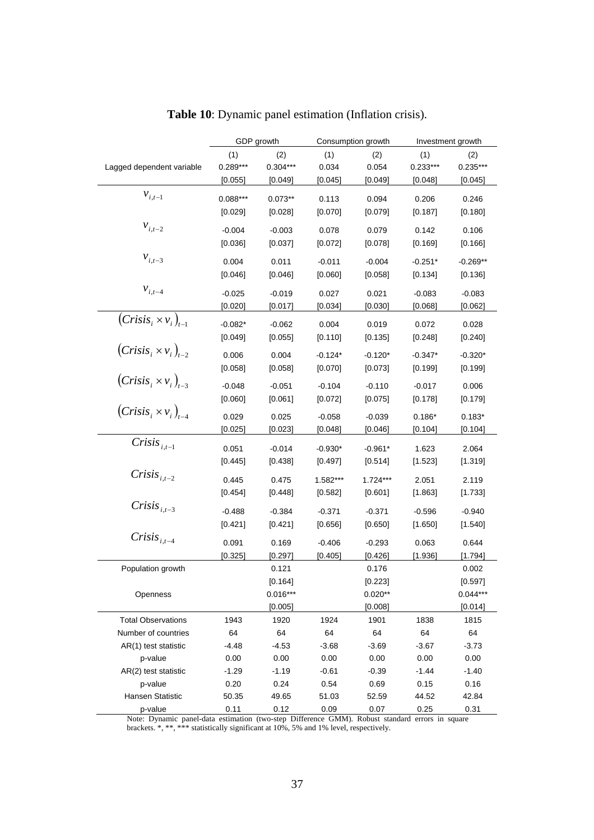|                                 |            | GDP growth |           | Consumption growth |            | Investment growth     |
|---------------------------------|------------|------------|-----------|--------------------|------------|-----------------------|
|                                 | (1)        | (2)        | (1)       | (2)                | (1)        | (2)                   |
| Lagged dependent variable       | $0.289***$ | $0.304***$ | 0.034     | 0.054              | $0.233***$ | $0.235***$            |
|                                 | [0.055]    | [0.049]    | [0.045]   | [0.049]            | [0.048]    | [0.045]               |
| $v_{i,t-1}$                     |            |            |           |                    |            |                       |
|                                 | $0.088***$ | $0.073**$  | 0.113     | 0.094              | 0.206      | 0.246                 |
|                                 | [0.029]    | [0.028]    | [0.070]   | [0.079]            | [0.187]    | [0.180]               |
| $\mathcal{V}_{i,t-2}$           | $-0.004$   | $-0.003$   | 0.078     | 0.079              | 0.142      | 0.106                 |
|                                 | [0.036]    | [0.037]    | [0.072]   | [0.078]            | [0.169]    | [0.166]               |
| $v_{i,t-3}$                     | 0.004      | 0.011      | $-0.011$  | $-0.004$           | $-0.251*$  | $-0.269**$            |
|                                 |            |            |           |                    |            |                       |
|                                 | [0.046]    | [0.046]    | [0.060]   | [0.058]            | [0.134]    | [0.136]               |
| $v_{i,t-4}$                     | $-0.025$   | $-0.019$   | 0.027     | 0.021              | $-0.083$   | $-0.083$              |
|                                 | [0.020]    | [0.017]    | [0.034]   | [0.030]            | [0.068]    | [0.062]               |
| $(Crisis_i \times v_i)_{t=1}$   | $-0.082*$  | $-0.062$   | 0.004     | 0.019              | 0.072      | 0.028                 |
|                                 | [0.049]    | [0.055]    | [0.110]   | [0.135]            | [0.248]    | [0.240]               |
| $(Crisis_i \times v_i)_{t=2}$   |            |            |           |                    |            |                       |
|                                 | 0.006      | 0.004      | $-0.124*$ | $-0.120*$          | $-0.347*$  | $-0.320*$             |
|                                 | [0.058]    | [0.058]    | [0.070]   | [0.073]            | [0.199]    | [0.199]               |
| $(Crisis_i \times v_i)_{t=3}$   | $-0.048$   | $-0.051$   | $-0.104$  | $-0.110$           | $-0.017$   | 0.006                 |
|                                 | [0.060]    | [0.061]    | $[0.072]$ | [0.075]            | [0.178]    | [0.179]               |
| $(Crisis_i \times v_i)_{i-4}$   |            |            |           |                    |            |                       |
|                                 | 0.029      | 0.025      | $-0.058$  | $-0.039$           | $0.186*$   | $0.183*$              |
|                                 | [0.025]    | [0.023]    | [0.048]   | [0.046]            | [0.104]    | [0.104]               |
| Crisis $_{i,t-1}$               | 0.051      | $-0.014$   | $-0.930*$ | $-0.961*$          | 1.623      | 2.064                 |
|                                 | $[0.445]$  | [0.438]    | $[0.497]$ | $[0.514]$          | $[1.523]$  | [1.319]               |
| $Crisis_{i,t-2}$                |            |            |           |                    |            |                       |
|                                 | 0.445      | 0.475      | 1.582***  | $1.724***$         | 2.051      | 2.119                 |
|                                 | [0.454]    | [0.448]    | $[0.582]$ | [0.601]            | [1.863]    | [1.733]               |
| Crisis $_{i,t-3}$               | $-0.488$   | $-0.384$   | $-0.371$  | $-0.371$           | $-0.596$   | $-0.940$              |
|                                 | [0.421]    | [0.421]    | [0.656]   | [0.650]            | [1.650]    | [1.540]               |
| $Crisis_{i.t-4}$                | 0.091      | 0.169      | $-0.406$  | $-0.293$           | 0.063      | 0.644                 |
|                                 |            | [0.297]    | [0.405]   | [0.426]            | [1.936]    | [1.794]               |
| Population growth               | [0.325]    | 0.121      |           | 0.176              |            | 0.002                 |
|                                 |            |            |           |                    |            |                       |
|                                 |            | [0.164]    |           | [0.223]            |            | [0.597]<br>$0.044***$ |
| Openness                        |            | $0.016***$ |           | $0.020**$          |            |                       |
|                                 |            | [0.005]    |           | [0.008]            |            | [0.014]               |
| <b>Total Observations</b>       | 1943       | 1920       | 1924      | 1901               | 1838       | 1815                  |
| Number of countries             | 64         | 64         | 64        | 64                 | 64         | 64                    |
| AR(1) test statistic            | -4.48      | $-4.53$    | $-3.68$   | $-3.69$            | $-3.67$    | $-3.73$               |
| p-value<br>AR(2) test statistic | 0.00       | 0.00       | 0.00      | 0.00               | 0.00       | 0.00                  |
|                                 | $-1.29$    | $-1.19$    | $-0.61$   | $-0.39$            | $-1.44$    | $-1.40$               |
| p-value                         | 0.20       | 0.24       | 0.54      | 0.69               | 0.15       | 0.16                  |
| Hansen Statistic                | 50.35      | 49.65      | 51.03     | 52.59              | 44.52      | 42.84                 |
| p-value                         | 0.11       | 0.12       | 0.09      | 0.07               | 0.25       | 0.31                  |

**Table 10**: Dynamic panel estimation (Inflation crisis).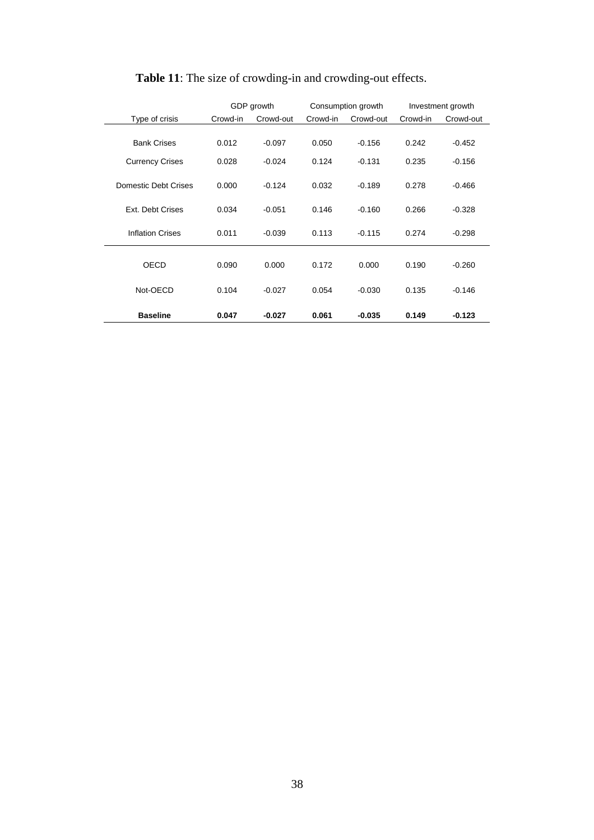|                         |          | GDP growth |          | Consumption growth |          | Investment growth |
|-------------------------|----------|------------|----------|--------------------|----------|-------------------|
| Type of crisis          | Crowd-in | Crowd-out  | Crowd-in | Crowd-out          | Crowd-in | Crowd-out         |
|                         |          |            |          |                    |          |                   |
| <b>Bank Crises</b>      | 0.012    | $-0.097$   | 0.050    | $-0.156$           | 0.242    | $-0.452$          |
| <b>Currency Crises</b>  | 0.028    | $-0.024$   | 0.124    | $-0.131$           | 0.235    | $-0.156$          |
| Domestic Debt Crises    | 0.000    | $-0.124$   | 0.032    | $-0.189$           | 0.278    | $-0.466$          |
| Ext. Debt Crises        | 0.034    | $-0.051$   | 0.146    | $-0.160$           | 0.266    | $-0.328$          |
| <b>Inflation Crises</b> | 0.011    | $-0.039$   | 0.113    | $-0.115$           | 0.274    | $-0.298$          |
|                         |          |            |          |                    |          |                   |
| OECD                    | 0.090    | 0.000      | 0.172    | 0.000              | 0.190    | $-0.260$          |
| Not-OECD                | 0.104    | $-0.027$   | 0.054    | $-0.030$           | 0.135    | $-0.146$          |
| <b>Baseline</b>         | 0.047    | $-0.027$   | 0.061    | $-0.035$           | 0.149    | $-0.123$          |

## **Table 11**: The size of crowding-in and crowding-out effects.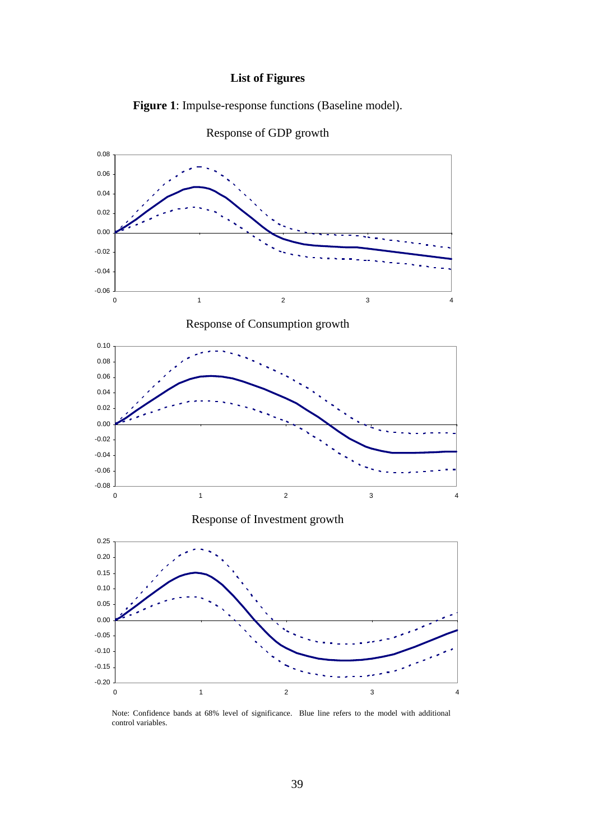#### **List of Figures**







Note: Confidence bands at 68% level of significance. Blue line refers to the model with additional control variables.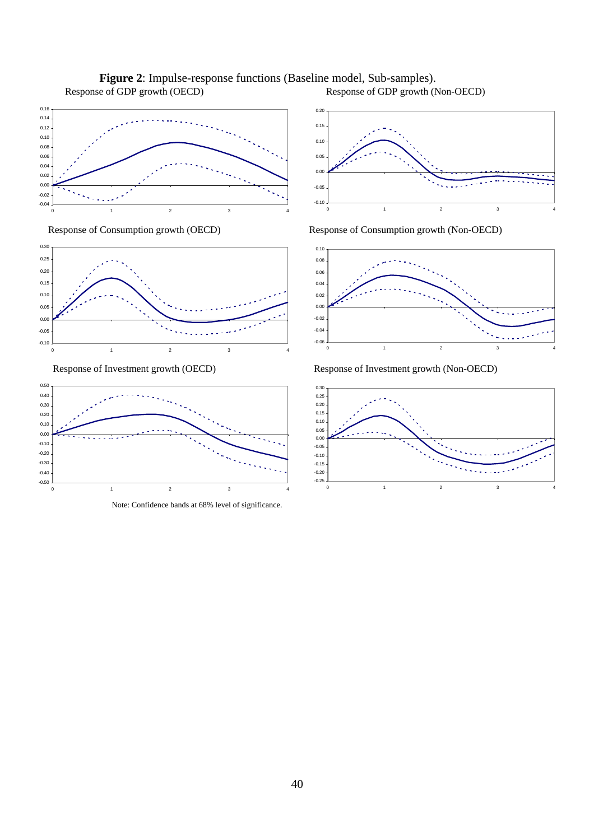

**Figure 2**: Impulse-response functions (Baseline model, Sub-samples). Response of GDP growth (OECD) Response of GDP growth (Non-OECD)





Note: Confidence bands at 68% level of significance.



Response of Consumption growth (OECD) Response of Consumption growth (Non-OECD)



Response of Investment growth (OECD) Response of Investment growth (Non-OECD)

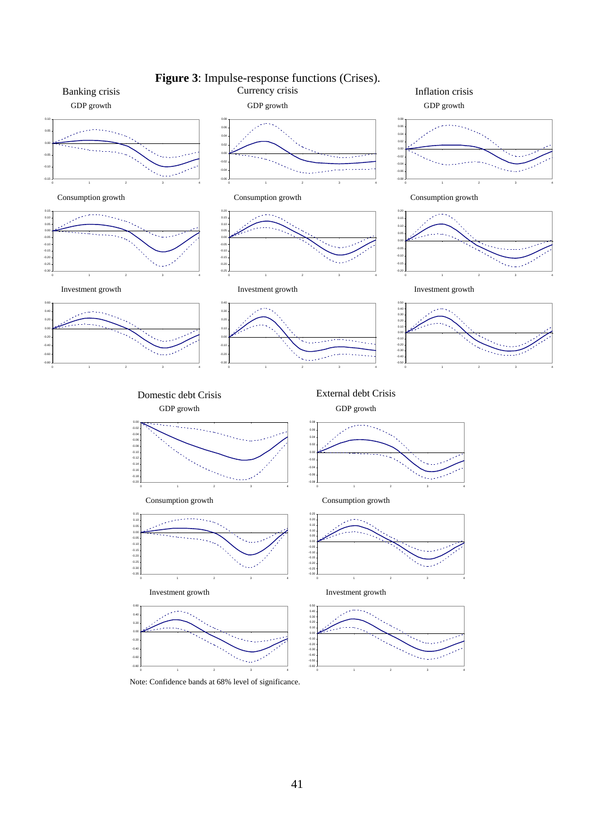